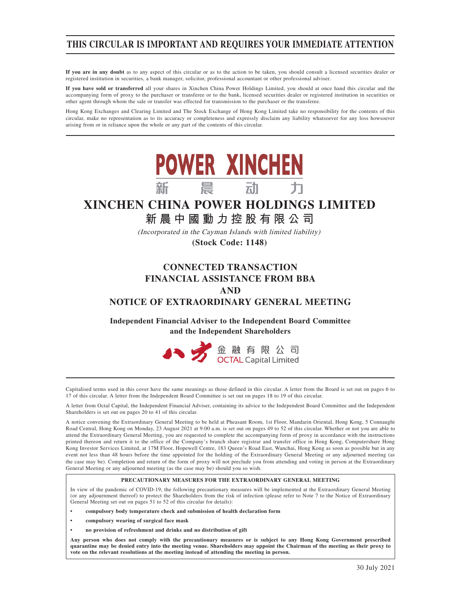## **THIS CIRCULAR IS IMPORTANT AND REQUIRES YOUR IMMEDIATE ATTENTION**

**If you are in any doubt** as to any aspect of this circular or as to the action to be taken, you should consult a licensed securities dealer or registered institution in securities, a bank manager, solicitor, professional accountant or other professional adviser.

**If you have sold or transferred** all your shares in Xinchen China Power Holdings Limited, you should at once hand this circular and the accompanying form of proxy to the purchaser or transferee or to the bank, licensed securities dealer or registered institution in securities or other agent through whom the sale or transfer was effected for transmission to the purchaser or the transferee.

Hong Kong Exchanges and Clearing Limited and The Stock Exchange of Hong Kong Limited take no responsibility for the contents of this circular, make no representation as to its accuracy or completeness and expressly disclaim any liability whatsoever for any loss howsoever arising from or in reliance upon the whole or any part of the contents of this circular.



## **XINCHEN CHINA POWER HOLDINGS LIMITED**

**新晨中國動力控股有限公 司**

(Incorporated in the Cayman Islands with limited liability)

**(Stock Code: 1148)**

## **CONNECTED TRANSACTION FINANCIAL ASSISTANCE FROM BBA AND NOTICE OF EXTRAORDINARY GENERAL MEETING**

**Independent Financial Adviser to the Independent Board Committee and the Independent Shareholders**



Capitalised terms used in this cover have the same meanings as those defined in this circular. A letter from the Board is set out on pages 6 to 17 of this circular. A letter from the Independent Board Committee is set out on pages 18 to 19 of this circular.

A letter from Octal Capital, the Independent Financial Adviser, containing its advice to the Independent Board Committee and the Independent Shareholders is set out on pages 20 to 41 of this circular.

A notice convening the Extraordinary General Meeting to be held at Pheasant Room, 1st Floor, Mandarin Oriental, Hong Kong, 5 Connaught Road Central, Hong Kong on Monday, 23 August 2021 at 9:00 a.m. is set out on pages 49 to 52 of this circular. Whether or not you are able to attend the Extraordinary General Meeting, you are requested to complete the accompanying form of proxy in accordance with the instructions printed thereon and return it to the office of the Company's branch share registrar and transfer office in Hong Kong, Computershare Hong Kong Investor Services Limited, at 17M Floor, Hopewell Centre, 183 Queen's Road East, Wanchai, Hong Kong as soon as possible but in any event not less than 48 hours before the time appointed for the holding of the Extraordinary General Meeting or any adjourned meeting (as the case may be). Completion and return of the form of proxy will not preclude you from attending and voting in person at the Extraordinary General Meeting or any adjourned meeting (as the case may be) should you so wish.

#### **PRECAUTIONARY MEASURES FOR THE EXTRAORDINARY GENERAL MEETING**

In view of the pandemic of COVID-19, the following precautionary measures will be implemented at the Extraordinary General Meeting (or any adjournment thereof) to protect the Shareholders from the risk of infection (please refer to Note 7 to the Notice of Extraordinary General Meeting set out on pages 51 to 52 of this circular for details):

- **compulsory body temperature check and submission of health declaration form**
- **compulsory wearing of surgical face mask**
- **no provision of refreshment and drinks and no distribution of gift**

**Any person who does not comply with the precautionary measures or is subject to any Hong Kong Government prescribed quarantine may be denied entry into the meeting venue. Shareholders may appoint the Chairman of the meeting as their proxy to vote on the relevant resolutions at the meeting instead of attending the meeting in person.**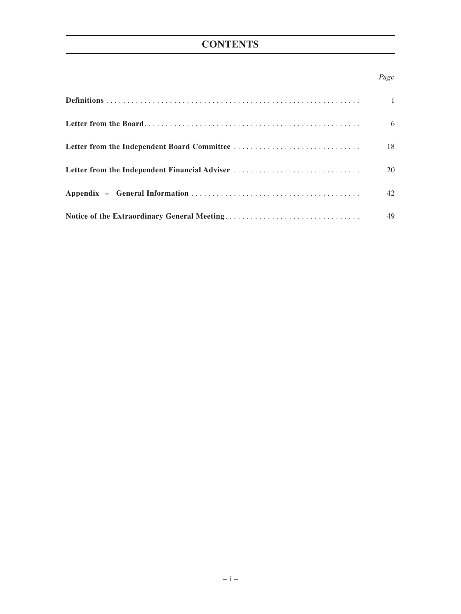## **CONTENTS**

## Page

|                                               | $\mathbf{1}$ |
|-----------------------------------------------|--------------|
|                                               | 6            |
|                                               | 18           |
| Letter from the Independent Financial Adviser | 20           |
|                                               | 42           |
|                                               | 49           |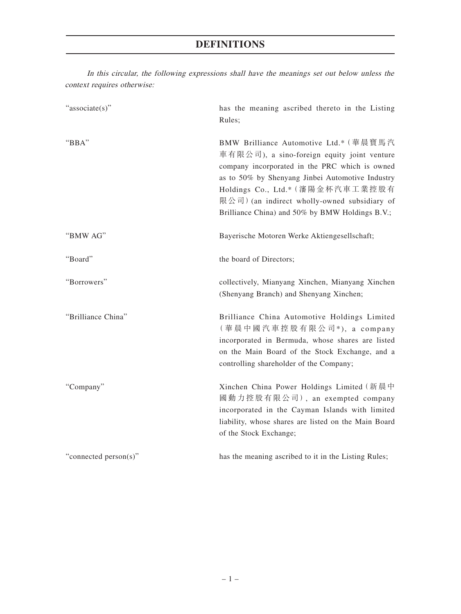| context requires otherwise: |                                                                                                                                                                                                                                                                                                                                    |
|-----------------------------|------------------------------------------------------------------------------------------------------------------------------------------------------------------------------------------------------------------------------------------------------------------------------------------------------------------------------------|
| "associate(s)"              | has the meaning ascribed thereto in the Listing<br>Rules;                                                                                                                                                                                                                                                                          |
| "BBA"                       | BMW Brilliance Automotive Ltd.* (華晨寶馬汽<br>車有限公司), a sino-foreign equity joint venture<br>company incorporated in the PRC which is owned<br>as to 50% by Shenyang Jinbei Automotive Industry<br>Holdings Co., Ltd.* (瀋陽金杯汽車工業控股有<br>限公司) (an indirect wholly-owned subsidiary of<br>Brilliance China) and 50% by BMW Holdings B.V.; |
| "BMW AG"                    | Bayerische Motoren Werke Aktiengesellschaft;                                                                                                                                                                                                                                                                                       |
| "Board"                     | the board of Directors;                                                                                                                                                                                                                                                                                                            |
| "Borrowers"                 | collectively, Mianyang Xinchen, Mianyang Xinchen<br>(Shenyang Branch) and Shenyang Xinchen;                                                                                                                                                                                                                                        |
| "Brilliance China"          | Brilliance China Automotive Holdings Limited<br>(華晨中國汽車控股有限公司*), a company<br>incorporated in Bermuda, whose shares are listed<br>on the Main Board of the Stock Exchange, and a<br>controlling shareholder of the Company;                                                                                                        |
| "Company"                   | Xinchen China Power Holdings Limited (新晨中<br>國動力控股有限公司), an exempted company<br>incorporated in the Cayman Islands with limited<br>liability, whose shares are listed on the Main Board<br>of the Stock Exchange;                                                                                                                  |
| "connected person(s)"       | has the meaning ascribed to it in the Listing Rules;                                                                                                                                                                                                                                                                               |

In this circular, the following expressions shall have the meanings set out below unless the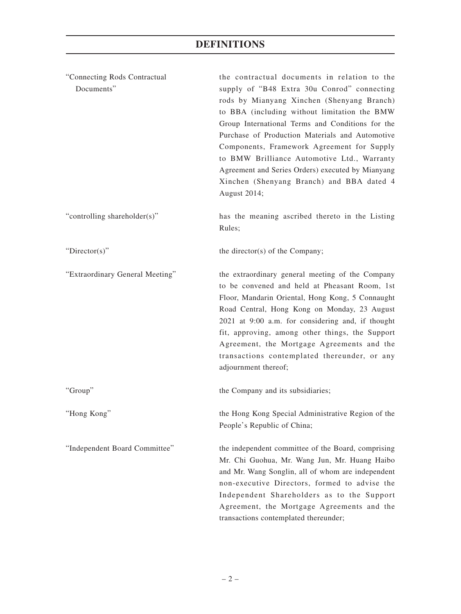| "Connecting Rods Contractual<br>Documents" | the contractual documents in relation to the<br>supply of "B48 Extra 30u Conrod" connecting<br>rods by Mianyang Xinchen (Shenyang Branch)<br>to BBA (including without limitation the BMW<br>Group International Terms and Conditions for the<br>Purchase of Production Materials and Automotive<br>Components, Framework Agreement for Supply<br>to BMW Brilliance Automotive Ltd., Warranty<br>Agreement and Series Orders) executed by Mianyang<br>Xinchen (Shenyang Branch) and BBA dated 4<br>August 2014; |
|--------------------------------------------|-----------------------------------------------------------------------------------------------------------------------------------------------------------------------------------------------------------------------------------------------------------------------------------------------------------------------------------------------------------------------------------------------------------------------------------------------------------------------------------------------------------------|
| "controlling shareholder(s)"               | has the meaning ascribed thereto in the Listing<br>Rules;                                                                                                                                                                                                                                                                                                                                                                                                                                                       |
| " $Directory$ "                            | the director(s) of the Company;                                                                                                                                                                                                                                                                                                                                                                                                                                                                                 |
| "Extraordinary General Meeting"            | the extraordinary general meeting of the Company<br>to be convened and held at Pheasant Room, 1st<br>Floor, Mandarin Oriental, Hong Kong, 5 Connaught<br>Road Central, Hong Kong on Monday, 23 August<br>2021 at 9:00 a.m. for considering and, if thought<br>fit, approving, among other things, the Support<br>Agreement, the Mortgage Agreements and the<br>transactions contemplated thereunder, or any<br>adjournment thereof;                                                                             |
| "Group"                                    | the Company and its subsidiaries;                                                                                                                                                                                                                                                                                                                                                                                                                                                                               |
| "Hong Kong"                                | the Hong Kong Special Administrative Region of the<br>People's Republic of China;                                                                                                                                                                                                                                                                                                                                                                                                                               |
| "Independent Board Committee"              | the independent committee of the Board, comprising<br>Mr. Chi Guohua, Mr. Wang Jun, Mr. Huang Haibo<br>and Mr. Wang Songlin, all of whom are independent<br>non-executive Directors, formed to advise the<br>Independent Shareholders as to the Support<br>Agreement, the Mortgage Agreements and the<br>transactions contemplated thereunder;                                                                                                                                                                  |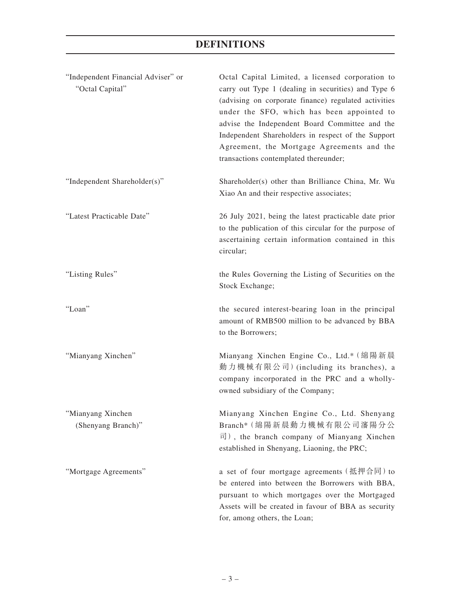| "Independent Financial Adviser" or<br>"Octal Capital" | Octal Capital Limited, a licensed corporation to<br>carry out Type 1 (dealing in securities) and Type 6<br>(advising on corporate finance) regulated activities<br>under the SFO, which has been appointed to<br>advise the Independent Board Committee and the<br>Independent Shareholders in respect of the Support<br>Agreement, the Mortgage Agreements and the<br>transactions contemplated thereunder; |
|-------------------------------------------------------|--------------------------------------------------------------------------------------------------------------------------------------------------------------------------------------------------------------------------------------------------------------------------------------------------------------------------------------------------------------------------------------------------------------|
| "Independent Shareholder(s)"                          | Shareholder(s) other than Brilliance China, Mr. Wu<br>Xiao An and their respective associates;                                                                                                                                                                                                                                                                                                               |
| "Latest Practicable Date"                             | 26 July 2021, being the latest practicable date prior<br>to the publication of this circular for the purpose of<br>ascertaining certain information contained in this<br>circular;                                                                                                                                                                                                                           |
| "Listing Rules"                                       | the Rules Governing the Listing of Securities on the<br>Stock Exchange;                                                                                                                                                                                                                                                                                                                                      |
| "Loan"                                                | the secured interest-bearing loan in the principal<br>amount of RMB500 million to be advanced by BBA<br>to the Borrowers;                                                                                                                                                                                                                                                                                    |
| "Mianyang Xinchen"                                    | Mianyang Xinchen Engine Co., Ltd.* (綿陽新晨<br>動力機械有限公司) (including its branches), a<br>company incorporated in the PRC and a wholly-<br>owned subsidiary of the Company;                                                                                                                                                                                                                                       |
| "Mianyang Xinchen<br>(Shenyang Branch)"               | Mianyang Xinchen Engine Co., Ltd. Shenyang<br>Branch*(綿陽新晨動力機械有限公司瀋陽分公<br>司), the branch company of Mianyang Xinchen<br>established in Shenyang, Liaoning, the PRC;                                                                                                                                                                                                                                          |
| "Mortgage Agreements"                                 | a set of four mortgage agreements (抵押合同) to<br>be entered into between the Borrowers with BBA,<br>pursuant to which mortgages over the Mortgaged<br>Assets will be created in favour of BBA as security<br>for, among others, the Loan;                                                                                                                                                                      |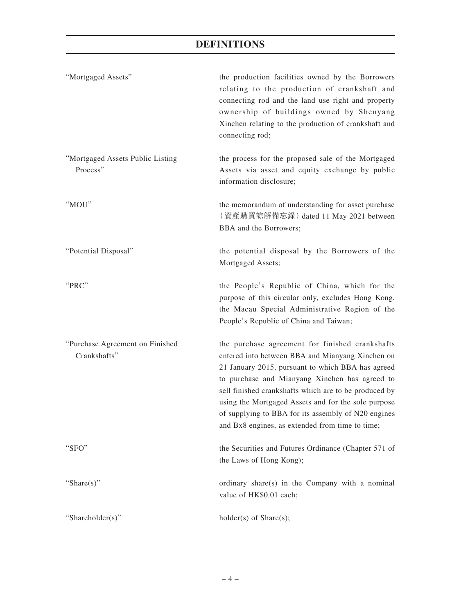| "Mortgaged Assets"                              | the production facilities owned by the Borrowers<br>relating to the production of crankshaft and<br>connecting rod and the land use right and property<br>ownership of buildings owned by Shenyang<br>Xinchen relating to the production of crankshaft and<br>connecting rod;                                                                                                                                                        |
|-------------------------------------------------|--------------------------------------------------------------------------------------------------------------------------------------------------------------------------------------------------------------------------------------------------------------------------------------------------------------------------------------------------------------------------------------------------------------------------------------|
| "Mortgaged Assets Public Listing<br>Process"    | the process for the proposed sale of the Mortgaged<br>Assets via asset and equity exchange by public<br>information disclosure;                                                                                                                                                                                                                                                                                                      |
| "MOU"                                           | the memorandum of understanding for asset purchase<br>(資產購買諒解備忘錄) dated 11 May 2021 between<br>BBA and the Borrowers;                                                                                                                                                                                                                                                                                                                |
| "Potential Disposal"                            | the potential disposal by the Borrowers of the<br>Mortgaged Assets;                                                                                                                                                                                                                                                                                                                                                                  |
| "PRC"                                           | the People's Republic of China, which for the<br>purpose of this circular only, excludes Hong Kong,<br>the Macau Special Administrative Region of the<br>People's Republic of China and Taiwan;                                                                                                                                                                                                                                      |
| "Purchase Agreement on Finished<br>Crankshafts" | the purchase agreement for finished crankshafts<br>entered into between BBA and Mianyang Xinchen on<br>21 January 2015, pursuant to which BBA has agreed<br>to purchase and Mianyang Xinchen has agreed to<br>sell finished crankshafts which are to be produced by<br>using the Mortgaged Assets and for the sole purpose<br>of supplying to BBA for its assembly of N20 engines<br>and Bx8 engines, as extended from time to time; |
| "SFO"                                           | the Securities and Futures Ordinance (Chapter 571 of<br>the Laws of Hong Kong);                                                                                                                                                                                                                                                                                                                                                      |
| "Share $(s)$ "                                  | ordinary share(s) in the Company with a nominal<br>value of HK\$0.01 each;                                                                                                                                                                                                                                                                                                                                                           |
| "Shareholder(s)"                                | $holder(s)$ of Share $(s)$ ;                                                                                                                                                                                                                                                                                                                                                                                                         |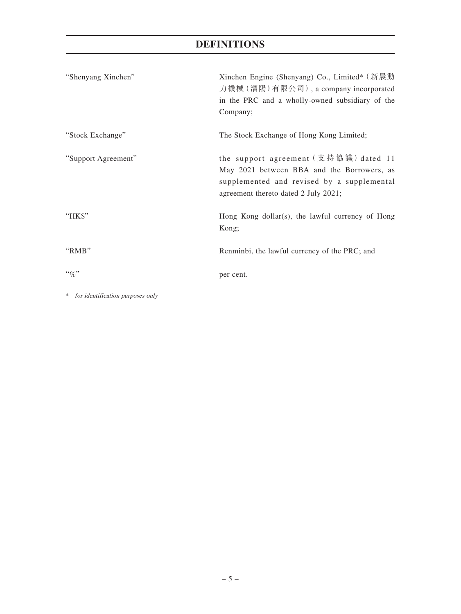| "Shenyang Xinchen"  | Xinchen Engine (Shenyang) Co., Limited* (新晨動<br>力機械 (瀋陽)有限公司), a company incorporated<br>in the PRC and a wholly-owned subsidiary of the<br>Company;                                                                                                                                                               |
|---------------------|--------------------------------------------------------------------------------------------------------------------------------------------------------------------------------------------------------------------------------------------------------------------------------------------------------------------|
| "Stock Exchange"    | The Stock Exchange of Hong Kong Limited;                                                                                                                                                                                                                                                                           |
| "Support Agreement" | the support agreement $(\nabla \ddot{\bm{\pi}})$ $\ddot{\bm{\pi}}$ $\ddot{\bm{\pi}}$ $\ddot{\bm{\pi}}$ $\ddot{\bm{\pi}}$ $\ddot{\bm{\pi}}$ $\ddot{\bm{\pi}}$ $\ddot{\bm{\pi}}$<br>May 2021 between BBA and the Borrowers, as<br>supplemented and revised by a supplemental<br>agreement thereto dated 2 July 2021; |
| "HK\$"              | Hong Kong dollar(s), the lawful currency of Hong<br>Kong;                                                                                                                                                                                                                                                          |
| "RMB"               | Renminbi, the lawful currency of the PRC; and                                                                                                                                                                                                                                                                      |
| $``q_0"$            | per cent.                                                                                                                                                                                                                                                                                                          |

\* for identification purposes only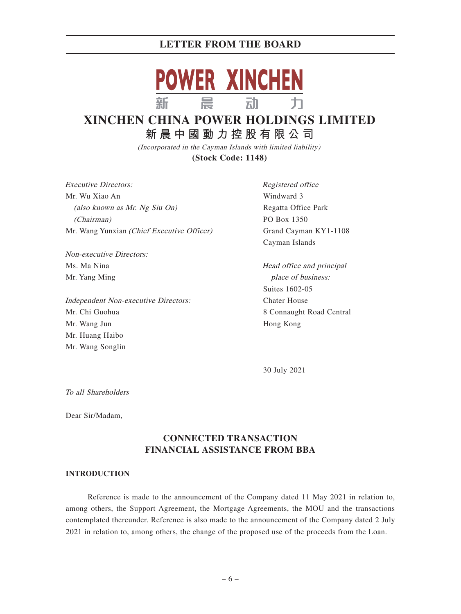

# **XINCHEN CHINA POWER HOLDINGS LIMITED**

**新晨中國動力控股有限公 司** (Incorporated in the Cayman Islands with limited liability)

**(Stock Code: 1148)**

Executive Directors: Mr. Wu Xiao An (also known as Mr. Ng Siu On) (Chairman) Mr. Wang Yunxian (Chief Executive Officer)

Non-executive Directors: Ms. Ma Nina Mr. Yang Ming

Independent Non-executive Directors: Mr. Chi Guohua Mr. Wang Jun Mr. Huang Haibo Mr. Wang Songlin

Registered office Windward 3 Regatta Office Park PO Box 1350 Grand Cayman KY1-1108 Cayman Islands

Head office and principal place of business: Suites 1602-05 Chater House 8 Connaught Road Central Hong Kong

30 July 2021

To all Shareholders

Dear Sir/Madam,

## **CONNECTED TRANSACTION FINANCIAL ASSISTANCE FROM BBA**

#### **INTRODUCTION**

Reference is made to the announcement of the Company dated 11 May 2021 in relation to, among others, the Support Agreement, the Mortgage Agreements, the MOU and the transactions contemplated thereunder. Reference is also made to the announcement of the Company dated 2 July 2021 in relation to, among others, the change of the proposed use of the proceeds from the Loan.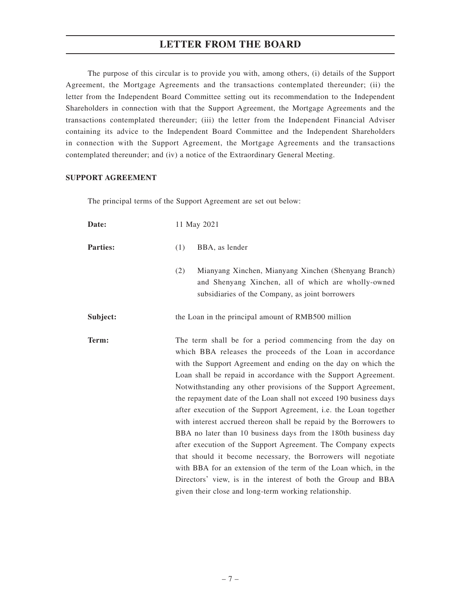The purpose of this circular is to provide you with, among others, (i) details of the Support Agreement, the Mortgage Agreements and the transactions contemplated thereunder; (ii) the letter from the Independent Board Committee setting out its recommendation to the Independent Shareholders in connection with that the Support Agreement, the Mortgage Agreements and the transactions contemplated thereunder; (iii) the letter from the Independent Financial Adviser containing its advice to the Independent Board Committee and the Independent Shareholders in connection with the Support Agreement, the Mortgage Agreements and the transactions contemplated thereunder; and (iv) a notice of the Extraordinary General Meeting.

#### **SUPPORT AGREEMENT**

The principal terms of the Support Agreement are set out below:

| Date:           | 11 May 2021                                                                                                                                                                                                                                                                                                                                                                                                                                                                                                                                                                                                                                                                                                                                                                                                                                                                                                                                |
|-----------------|--------------------------------------------------------------------------------------------------------------------------------------------------------------------------------------------------------------------------------------------------------------------------------------------------------------------------------------------------------------------------------------------------------------------------------------------------------------------------------------------------------------------------------------------------------------------------------------------------------------------------------------------------------------------------------------------------------------------------------------------------------------------------------------------------------------------------------------------------------------------------------------------------------------------------------------------|
| <b>Parties:</b> | (1)<br>BBA, as lender                                                                                                                                                                                                                                                                                                                                                                                                                                                                                                                                                                                                                                                                                                                                                                                                                                                                                                                      |
|                 | (2)<br>Mianyang Xinchen, Mianyang Xinchen (Shenyang Branch)<br>and Shenyang Xinchen, all of which are wholly-owned<br>subsidiaries of the Company, as joint borrowers                                                                                                                                                                                                                                                                                                                                                                                                                                                                                                                                                                                                                                                                                                                                                                      |
| Subject:        | the Loan in the principal amount of RMB500 million                                                                                                                                                                                                                                                                                                                                                                                                                                                                                                                                                                                                                                                                                                                                                                                                                                                                                         |
| Term:           | The term shall be for a period commencing from the day on<br>which BBA releases the proceeds of the Loan in accordance<br>with the Support Agreement and ending on the day on which the<br>Loan shall be repaid in accordance with the Support Agreement.<br>Notwithstanding any other provisions of the Support Agreement,<br>the repayment date of the Loan shall not exceed 190 business days<br>after execution of the Support Agreement, i.e. the Loan together<br>with interest accrued thereon shall be repaid by the Borrowers to<br>BBA no later than 10 business days from the 180th business day<br>after execution of the Support Agreement. The Company expects<br>that should it become necessary, the Borrowers will negotiate<br>with BBA for an extension of the term of the Loan which, in the<br>Directors' view, is in the interest of both the Group and BBA<br>given their close and long-term working relationship. |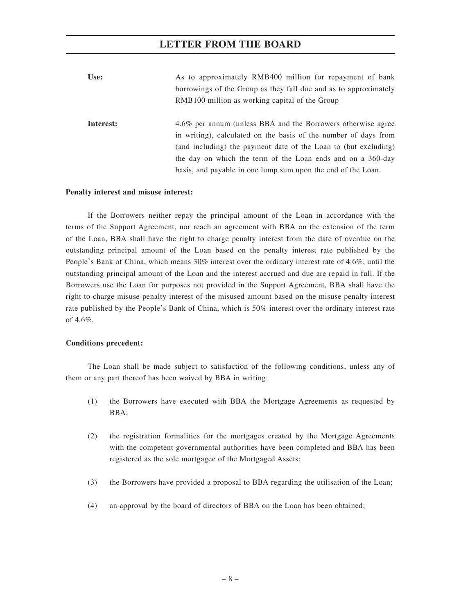| Use:      | As to approximately RMB400 million for repayment of bank         |  |  |  |  |
|-----------|------------------------------------------------------------------|--|--|--|--|
|           | borrowings of the Group as they fall due and as to approximately |  |  |  |  |
|           | RMB100 million as working capital of the Group                   |  |  |  |  |
|           |                                                                  |  |  |  |  |
| Interest: | 4.6% per annum (unless BBA and the Borrowers otherwise agree     |  |  |  |  |
|           | in writing), calculated on the basis of the number of days from  |  |  |  |  |
|           | (and including) the payment date of the Loan to (but excluding)  |  |  |  |  |
|           | the day on which the term of the Loan ends and on a 360-day      |  |  |  |  |
|           | basis, and payable in one lump sum upon the end of the Loan.     |  |  |  |  |

#### **Penalty interest and misuse interest:**

If the Borrowers neither repay the principal amount of the Loan in accordance with the terms of the Support Agreement, nor reach an agreement with BBA on the extension of the term of the Loan, BBA shall have the right to charge penalty interest from the date of overdue on the outstanding principal amount of the Loan based on the penalty interest rate published by the People's Bank of China, which means 30% interest over the ordinary interest rate of 4.6%, until the outstanding principal amount of the Loan and the interest accrued and due are repaid in full. If the Borrowers use the Loan for purposes not provided in the Support Agreement, BBA shall have the right to charge misuse penalty interest of the misused amount based on the misuse penalty interest rate published by the People's Bank of China, which is 50% interest over the ordinary interest rate of 4.6%

#### **Conditions precedent:**

The Loan shall be made subject to satisfaction of the following conditions, unless any of them or any part thereof has been waived by BBA in writing:

- (1) the Borrowers have executed with BBA the Mortgage Agreements as requested by BBA;
- (2) the registration formalities for the mortgages created by the Mortgage Agreements with the competent governmental authorities have been completed and BBA has been registered as the sole mortgagee of the Mortgaged Assets;
- (3) the Borrowers have provided a proposal to BBA regarding the utilisation of the Loan;
- (4) an approval by the board of directors of BBA on the Loan has been obtained;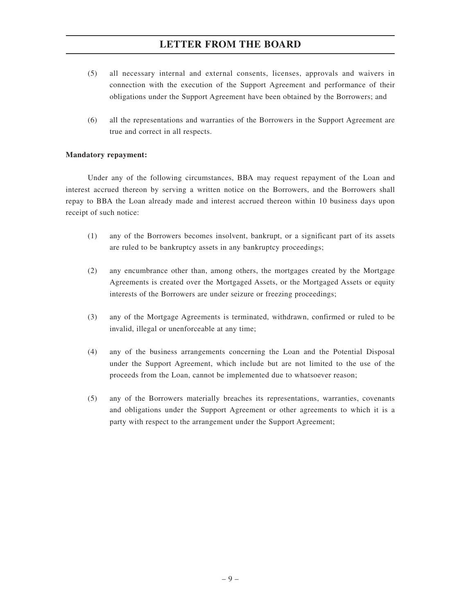- (5) all necessary internal and external consents, licenses, approvals and waivers in connection with the execution of the Support Agreement and performance of their obligations under the Support Agreement have been obtained by the Borrowers; and
- (6) all the representations and warranties of the Borrowers in the Support Agreement are true and correct in all respects.

#### **Mandatory repayment:**

Under any of the following circumstances, BBA may request repayment of the Loan and interest accrued thereon by serving a written notice on the Borrowers, and the Borrowers shall repay to BBA the Loan already made and interest accrued thereon within 10 business days upon receipt of such notice:

- (1) any of the Borrowers becomes insolvent, bankrupt, or a significant part of its assets are ruled to be bankruptcy assets in any bankruptcy proceedings;
- (2) any encumbrance other than, among others, the mortgages created by the Mortgage Agreements is created over the Mortgaged Assets, or the Mortgaged Assets or equity interests of the Borrowers are under seizure or freezing proceedings;
- (3) any of the Mortgage Agreements is terminated, withdrawn, confirmed or ruled to be invalid, illegal or unenforceable at any time;
- (4) any of the business arrangements concerning the Loan and the Potential Disposal under the Support Agreement, which include but are not limited to the use of the proceeds from the Loan, cannot be implemented due to whatsoever reason;
- (5) any of the Borrowers materially breaches its representations, warranties, covenants and obligations under the Support Agreement or other agreements to which it is a party with respect to the arrangement under the Support Agreement;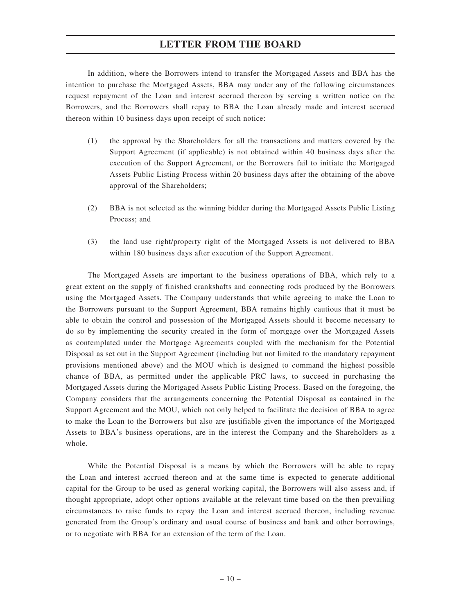In addition, where the Borrowers intend to transfer the Mortgaged Assets and BBA has the intention to purchase the Mortgaged Assets, BBA may under any of the following circumstances request repayment of the Loan and interest accrued thereon by serving a written notice on the Borrowers, and the Borrowers shall repay to BBA the Loan already made and interest accrued thereon within 10 business days upon receipt of such notice:

- (1) the approval by the Shareholders for all the transactions and matters covered by the Support Agreement (if applicable) is not obtained within 40 business days after the execution of the Support Agreement, or the Borrowers fail to initiate the Mortgaged Assets Public Listing Process within 20 business days after the obtaining of the above approval of the Shareholders;
- (2) BBA is not selected as the winning bidder during the Mortgaged Assets Public Listing Process; and
- (3) the land use right/property right of the Mortgaged Assets is not delivered to BBA within 180 business days after execution of the Support Agreement.

The Mortgaged Assets are important to the business operations of BBA, which rely to a great extent on the supply of finished crankshafts and connecting rods produced by the Borrowers using the Mortgaged Assets. The Company understands that while agreeing to make the Loan to the Borrowers pursuant to the Support Agreement, BBA remains highly cautious that it must be able to obtain the control and possession of the Mortgaged Assets should it become necessary to do so by implementing the security created in the form of mortgage over the Mortgaged Assets as contemplated under the Mortgage Agreements coupled with the mechanism for the Potential Disposal as set out in the Support Agreement (including but not limited to the mandatory repayment provisions mentioned above) and the MOU which is designed to command the highest possible chance of BBA, as permitted under the applicable PRC laws, to succeed in purchasing the Mortgaged Assets during the Mortgaged Assets Public Listing Process. Based on the foregoing, the Company considers that the arrangements concerning the Potential Disposal as contained in the Support Agreement and the MOU, which not only helped to facilitate the decision of BBA to agree to make the Loan to the Borrowers but also are justifiable given the importance of the Mortgaged Assets to BBA's business operations, are in the interest the Company and the Shareholders as a whole.

While the Potential Disposal is a means by which the Borrowers will be able to repay the Loan and interest accrued thereon and at the same time is expected to generate additional capital for the Group to be used as general working capital, the Borrowers will also assess and, if thought appropriate, adopt other options available at the relevant time based on the then prevailing circumstances to raise funds to repay the Loan and interest accrued thereon, including revenue generated from the Group's ordinary and usual course of business and bank and other borrowings, or to negotiate with BBA for an extension of the term of the Loan.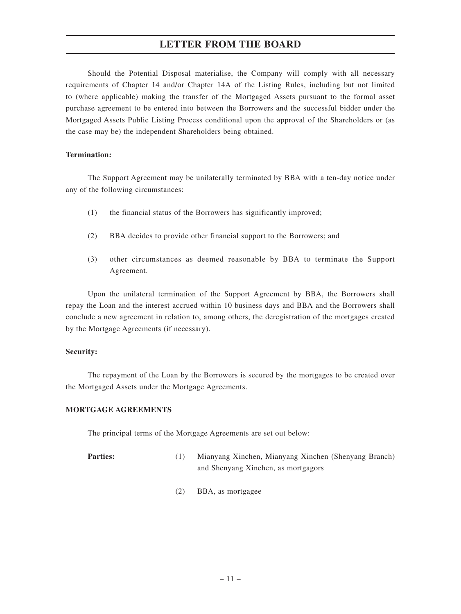Should the Potential Disposal materialise, the Company will comply with all necessary requirements of Chapter 14 and/or Chapter 14A of the Listing Rules, including but not limited to (where applicable) making the transfer of the Mortgaged Assets pursuant to the formal asset purchase agreement to be entered into between the Borrowers and the successful bidder under the Mortgaged Assets Public Listing Process conditional upon the approval of the Shareholders or (as the case may be) the independent Shareholders being obtained.

#### **Termination:**

The Support Agreement may be unilaterally terminated by BBA with a ten-day notice under any of the following circumstances:

- (1) the financial status of the Borrowers has significantly improved;
- (2) BBA decides to provide other financial support to the Borrowers; and
- (3) other circumstances as deemed reasonable by BBA to terminate the Support Agreement.

Upon the unilateral termination of the Support Agreement by BBA, the Borrowers shall repay the Loan and the interest accrued within 10 business days and BBA and the Borrowers shall conclude a new agreement in relation to, among others, the deregistration of the mortgages created by the Mortgage Agreements (if necessary).

#### **Security:**

The repayment of the Loan by the Borrowers is secured by the mortgages to be created over the Mortgaged Assets under the Mortgage Agreements.

#### **MORTGAGE AGREEMENTS**

The principal terms of the Mortgage Agreements are set out below:

- **Parties:** (1) Mianyang Xinchen, Mianyang Xinchen (Shenyang Branch) and Shenyang Xinchen, as mortgagors
	- (2) BBA, as mortgagee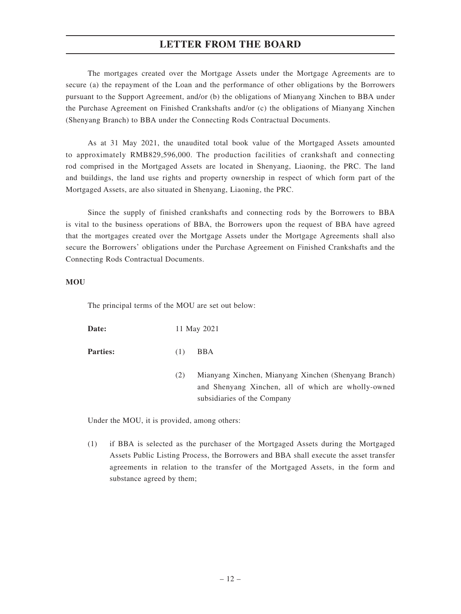The mortgages created over the Mortgage Assets under the Mortgage Agreements are to secure (a) the repayment of the Loan and the performance of other obligations by the Borrowers pursuant to the Support Agreement, and/or (b) the obligations of Mianyang Xinchen to BBA under the Purchase Agreement on Finished Crankshafts and/or (c) the obligations of Mianyang Xinchen (Shenyang Branch) to BBA under the Connecting Rods Contractual Documents.

As at 31 May 2021, the unaudited total book value of the Mortgaged Assets amounted to approximately RMB829,596,000. The production facilities of crankshaft and connecting rod comprised in the Mortgaged Assets are located in Shenyang, Liaoning, the PRC. The land and buildings, the land use rights and property ownership in respect of which form part of the Mortgaged Assets, are also situated in Shenyang, Liaoning, the PRC.

Since the supply of finished crankshafts and connecting rods by the Borrowers to BBA is vital to the business operations of BBA, the Borrowers upon the request of BBA have agreed that the mortgages created over the Mortgage Assets under the Mortgage Agreements shall also secure the Borrowers' obligations under the Purchase Agreement on Finished Crankshafts and the Connecting Rods Contractual Documents.

#### **MOU**

The principal terms of the MOU are set out below:

**Date:** 11 May 2021

**Parties:** (1) BBA

(2) Mianyang Xinchen, Mianyang Xinchen (Shenyang Branch) and Shenyang Xinchen, all of which are wholly-owned subsidiaries of the Company

Under the MOU, it is provided, among others:

(1) if BBA is selected as the purchaser of the Mortgaged Assets during the Mortgaged Assets Public Listing Process, the Borrowers and BBA shall execute the asset transfer agreements in relation to the transfer of the Mortgaged Assets, in the form and substance agreed by them;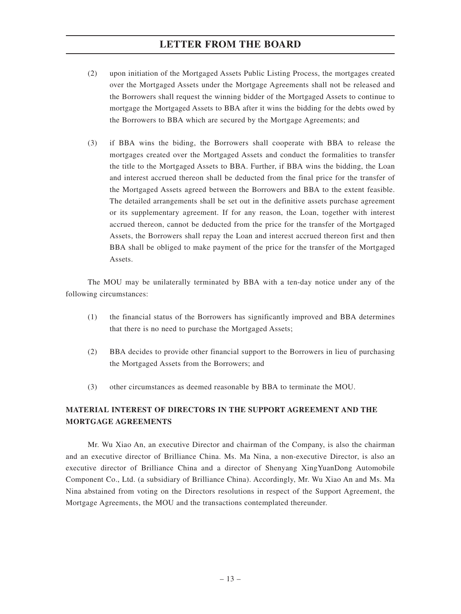- (2) upon initiation of the Mortgaged Assets Public Listing Process, the mortgages created over the Mortgaged Assets under the Mortgage Agreements shall not be released and the Borrowers shall request the winning bidder of the Mortgaged Assets to continue to mortgage the Mortgaged Assets to BBA after it wins the bidding for the debts owed by the Borrowers to BBA which are secured by the Mortgage Agreements; and
- (3) if BBA wins the biding, the Borrowers shall cooperate with BBA to release the mortgages created over the Mortgaged Assets and conduct the formalities to transfer the title to the Mortgaged Assets to BBA. Further, if BBA wins the bidding, the Loan and interest accrued thereon shall be deducted from the final price for the transfer of the Mortgaged Assets agreed between the Borrowers and BBA to the extent feasible. The detailed arrangements shall be set out in the definitive assets purchase agreement or its supplementary agreement. If for any reason, the Loan, together with interest accrued thereon, cannot be deducted from the price for the transfer of the Mortgaged Assets, the Borrowers shall repay the Loan and interest accrued thereon first and then BBA shall be obliged to make payment of the price for the transfer of the Mortgaged Assets.

The MOU may be unilaterally terminated by BBA with a ten-day notice under any of the following circumstances:

- (1) the financial status of the Borrowers has significantly improved and BBA determines that there is no need to purchase the Mortgaged Assets;
- (2) BBA decides to provide other financial support to the Borrowers in lieu of purchasing the Mortgaged Assets from the Borrowers; and
- (3) other circumstances as deemed reasonable by BBA to terminate the MOU.

## **MATERIAL INTEREST OF DIRECTORS IN THE SUPPORT AGREEMENT AND THE MORTGAGE AGREEMENTS**

Mr. Wu Xiao An, an executive Director and chairman of the Company, is also the chairman and an executive director of Brilliance China. Ms. Ma Nina, a non-executive Director, is also an executive director of Brilliance China and a director of Shenyang XingYuanDong Automobile Component Co., Ltd. (a subsidiary of Brilliance China). Accordingly, Mr. Wu Xiao An and Ms. Ma Nina abstained from voting on the Directors resolutions in respect of the Support Agreement, the Mortgage Agreements, the MOU and the transactions contemplated thereunder.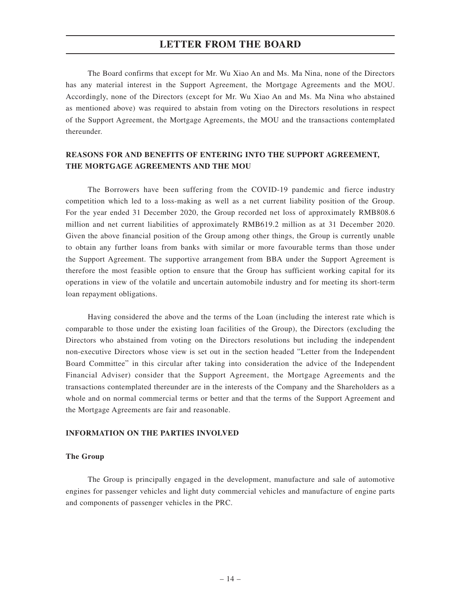The Board confirms that except for Mr. Wu Xiao An and Ms. Ma Nina, none of the Directors has any material interest in the Support Agreement, the Mortgage Agreements and the MOU. Accordingly, none of the Directors (except for Mr. Wu Xiao An and Ms. Ma Nina who abstained as mentioned above) was required to abstain from voting on the Directors resolutions in respect of the Support Agreement, the Mortgage Agreements, the MOU and the transactions contemplated thereunder.

## **REASONS FOR AND BENEFITS OF ENTERING INTO THE SUPPORT AGREEMENT, THE MORTGAGE AGREEMENTS AND THE MOU**

The Borrowers have been suffering from the COVID-19 pandemic and fierce industry competition which led to a loss-making as well as a net current liability position of the Group. For the year ended 31 December 2020, the Group recorded net loss of approximately RMB808.6 million and net current liabilities of approximately RMB619.2 million as at 31 December 2020. Given the above financial position of the Group among other things, the Group is currently unable to obtain any further loans from banks with similar or more favourable terms than those under the Support Agreement. The supportive arrangement from BBA under the Support Agreement is therefore the most feasible option to ensure that the Group has sufficient working capital for its operations in view of the volatile and uncertain automobile industry and for meeting its short-term loan repayment obligations.

Having considered the above and the terms of the Loan (including the interest rate which is comparable to those under the existing loan facilities of the Group), the Directors (excluding the Directors who abstained from voting on the Directors resolutions but including the independent non-executive Directors whose view is set out in the section headed "Letter from the Independent Board Committee" in this circular after taking into consideration the advice of the Independent Financial Adviser) consider that the Support Agreement, the Mortgage Agreements and the transactions contemplated thereunder are in the interests of the Company and the Shareholders as a whole and on normal commercial terms or better and that the terms of the Support Agreement and the Mortgage Agreements are fair and reasonable.

## **INFORMATION ON THE PARTIES INVOLVED**

#### **The Group**

The Group is principally engaged in the development, manufacture and sale of automotive engines for passenger vehicles and light duty commercial vehicles and manufacture of engine parts and components of passenger vehicles in the PRC.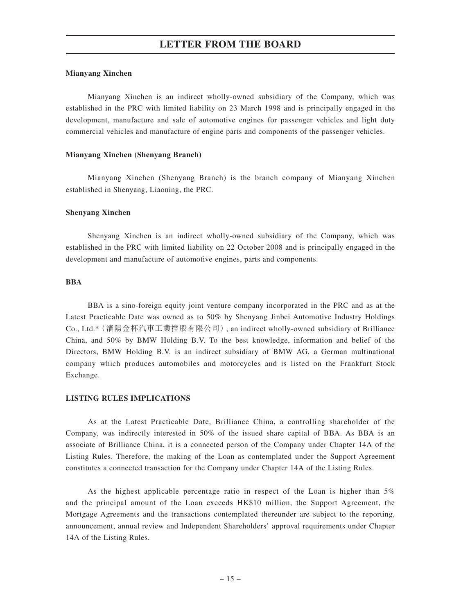#### **Mianyang Xinchen**

Mianyang Xinchen is an indirect wholly-owned subsidiary of the Company, which was established in the PRC with limited liability on 23 March 1998 and is principally engaged in the development, manufacture and sale of automotive engines for passenger vehicles and light duty commercial vehicles and manufacture of engine parts and components of the passenger vehicles.

#### **Mianyang Xinchen (Shenyang Branch)**

Mianyang Xinchen (Shenyang Branch) is the branch company of Mianyang Xinchen established in Shenyang, Liaoning, the PRC.

#### **Shenyang Xinchen**

Shenyang Xinchen is an indirect wholly-owned subsidiary of the Company, which was established in the PRC with limited liability on 22 October 2008 and is principally engaged in the development and manufacture of automotive engines, parts and components.

#### **BBA**

BBA is a sino-foreign equity joint venture company incorporated in the PRC and as at the Latest Practicable Date was owned as to 50% by Shenyang Jinbei Automotive Industry Holdings Co., Ltd.\*(瀋陽金杯汽車工業控股有限公司), an indirect wholly-owned subsidiary of Brilliance China, and 50% by BMW Holding B.V. To the best knowledge, information and belief of the Directors, BMW Holding B.V. is an indirect subsidiary of BMW AG, a German multinational company which produces automobiles and motorcycles and is listed on the Frankfurt Stock Exchange.

#### **LISTING RULES IMPLICATIONS**

As at the Latest Practicable Date, Brilliance China, a controlling shareholder of the Company, was indirectly interested in 50% of the issued share capital of BBA. As BBA is an associate of Brilliance China, it is a connected person of the Company under Chapter 14A of the Listing Rules. Therefore, the making of the Loan as contemplated under the Support Agreement constitutes a connected transaction for the Company under Chapter 14A of the Listing Rules.

As the highest applicable percentage ratio in respect of the Loan is higher than 5% and the principal amount of the Loan exceeds HK\$10 million, the Support Agreement, the Mortgage Agreements and the transactions contemplated thereunder are subject to the reporting, announcement, annual review and Independent Shareholders' approval requirements under Chapter 14A of the Listing Rules.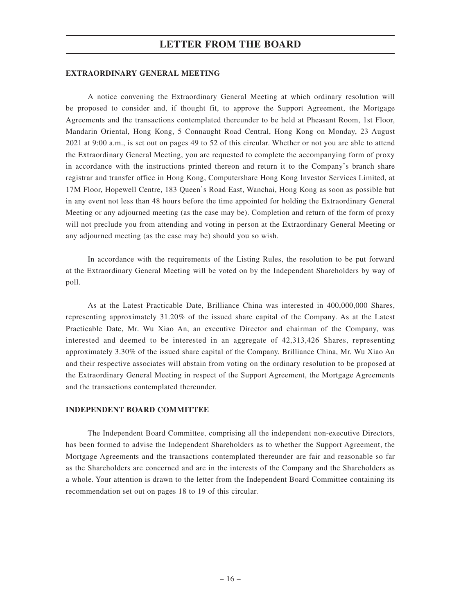#### **EXTRAORDINARY GENERAL MEETING**

A notice convening the Extraordinary General Meeting at which ordinary resolution will be proposed to consider and, if thought fit, to approve the Support Agreement, the Mortgage Agreements and the transactions contemplated thereunder to be held at Pheasant Room, 1st Floor, Mandarin Oriental, Hong Kong, 5 Connaught Road Central, Hong Kong on Monday, 23 August 2021 at 9:00 a.m., is set out on pages 49 to 52 of this circular. Whether or not you are able to attend the Extraordinary General Meeting, you are requested to complete the accompanying form of proxy in accordance with the instructions printed thereon and return it to the Company's branch share registrar and transfer office in Hong Kong, Computershare Hong Kong Investor Services Limited, at 17M Floor, Hopewell Centre, 183 Queen's Road East, Wanchai, Hong Kong as soon as possible but in any event not less than 48 hours before the time appointed for holding the Extraordinary General Meeting or any adjourned meeting (as the case may be). Completion and return of the form of proxy will not preclude you from attending and voting in person at the Extraordinary General Meeting or any adjourned meeting (as the case may be) should you so wish.

In accordance with the requirements of the Listing Rules, the resolution to be put forward at the Extraordinary General Meeting will be voted on by the Independent Shareholders by way of poll.

As at the Latest Practicable Date, Brilliance China was interested in 400,000,000 Shares, representing approximately 31.20% of the issued share capital of the Company. As at the Latest Practicable Date, Mr. Wu Xiao An, an executive Director and chairman of the Company, was interested and deemed to be interested in an aggregate of 42,313,426 Shares, representing approximately 3.30% of the issued share capital of the Company. Brilliance China, Mr. Wu Xiao An and their respective associates will abstain from voting on the ordinary resolution to be proposed at the Extraordinary General Meeting in respect of the Support Agreement, the Mortgage Agreements and the transactions contemplated thereunder.

#### **INDEPENDENT BOARD COMMITTEE**

The Independent Board Committee, comprising all the independent non-executive Directors, has been formed to advise the Independent Shareholders as to whether the Support Agreement, the Mortgage Agreements and the transactions contemplated thereunder are fair and reasonable so far as the Shareholders are concerned and are in the interests of the Company and the Shareholders as a whole. Your attention is drawn to the letter from the Independent Board Committee containing its recommendation set out on pages 18 to 19 of this circular.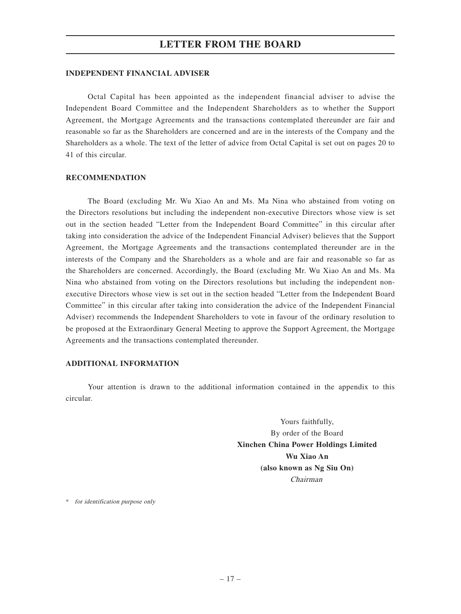#### **INDEPENDENT FINANCIAL ADVISER**

Octal Capital has been appointed as the independent financial adviser to advise the Independent Board Committee and the Independent Shareholders as to whether the Support Agreement, the Mortgage Agreements and the transactions contemplated thereunder are fair and reasonable so far as the Shareholders are concerned and are in the interests of the Company and the Shareholders as a whole. The text of the letter of advice from Octal Capital is set out on pages 20 to 41 of this circular.

#### **RECOMMENDATION**

The Board (excluding Mr. Wu Xiao An and Ms. Ma Nina who abstained from voting on the Directors resolutions but including the independent non-executive Directors whose view is set out in the section headed "Letter from the Independent Board Committee" in this circular after taking into consideration the advice of the Independent Financial Adviser) believes that the Support Agreement, the Mortgage Agreements and the transactions contemplated thereunder are in the interests of the Company and the Shareholders as a whole and are fair and reasonable so far as the Shareholders are concerned. Accordingly, the Board (excluding Mr. Wu Xiao An and Ms. Ma Nina who abstained from voting on the Directors resolutions but including the independent nonexecutive Directors whose view is set out in the section headed "Letter from the Independent Board Committee" in this circular after taking into consideration the advice of the Independent Financial Adviser) recommends the Independent Shareholders to vote in favour of the ordinary resolution to be proposed at the Extraordinary General Meeting to approve the Support Agreement, the Mortgage Agreements and the transactions contemplated thereunder.

#### **ADDITIONAL INFORMATION**

Your attention is drawn to the additional information contained in the appendix to this circular.

> Yours faithfully, By order of the Board **Xinchen China Power Holdings Limited Wu Xiao An (also known as Ng Siu On)** Chairman

\* for identification purpose only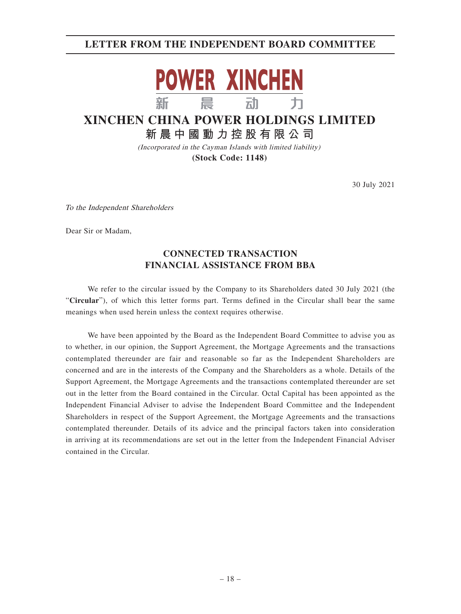## **LETTER FROM THE INDEPENDENT BOARD COMMITTEE**



# **XINCHEN CHINA POWER HOLDINGS LIMITED**

**新晨中國動力控股有限公 司**

(Incorporated in the Cayman Islands with limited liability)

**(Stock Code: 1148)**

30 July 2021

To the Independent Shareholders

Dear Sir or Madam,

## **CONNECTED TRANSACTION FINANCIAL ASSISTANCE FROM BBA**

We refer to the circular issued by the Company to its Shareholders dated 30 July 2021 (the "**Circular**"), of which this letter forms part. Terms defined in the Circular shall bear the same meanings when used herein unless the context requires otherwise.

We have been appointed by the Board as the Independent Board Committee to advise you as to whether, in our opinion, the Support Agreement, the Mortgage Agreements and the transactions contemplated thereunder are fair and reasonable so far as the Independent Shareholders are concerned and are in the interests of the Company and the Shareholders as a whole. Details of the Support Agreement, the Mortgage Agreements and the transactions contemplated thereunder are set out in the letter from the Board contained in the Circular. Octal Capital has been appointed as the Independent Financial Adviser to advise the Independent Board Committee and the Independent Shareholders in respect of the Support Agreement, the Mortgage Agreements and the transactions contemplated thereunder. Details of its advice and the principal factors taken into consideration in arriving at its recommendations are set out in the letter from the Independent Financial Adviser contained in the Circular.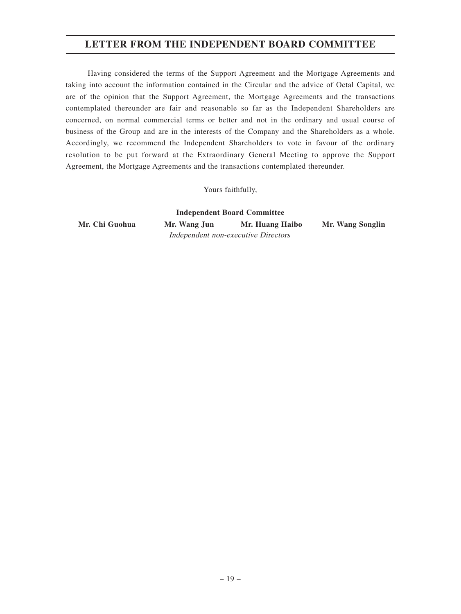## **LETTER FROM THE INDEPENDENT BOARD COMMITTEE**

Having considered the terms of the Support Agreement and the Mortgage Agreements and taking into account the information contained in the Circular and the advice of Octal Capital, we are of the opinion that the Support Agreement, the Mortgage Agreements and the transactions contemplated thereunder are fair and reasonable so far as the Independent Shareholders are concerned, on normal commercial terms or better and not in the ordinary and usual course of business of the Group and are in the interests of the Company and the Shareholders as a whole. Accordingly, we recommend the Independent Shareholders to vote in favour of the ordinary resolution to be put forward at the Extraordinary General Meeting to approve the Support Agreement, the Mortgage Agreements and the transactions contemplated thereunder.

Yours faithfully,

**Independent Board Committee Mr. Chi Guohua Mr. Wang Jun Mr. Huang Haibo Mr. Wang Songlin** Independent non-executive Directors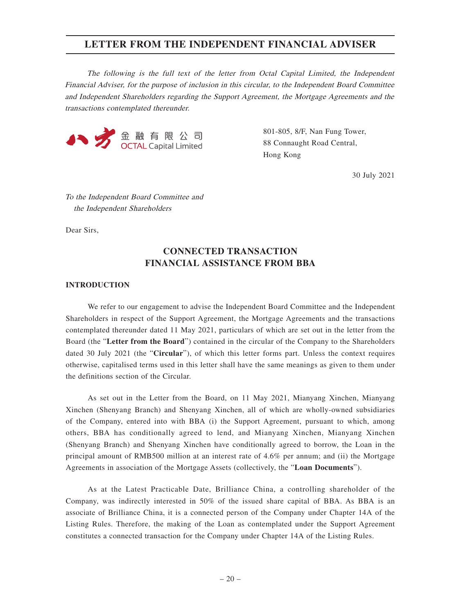The following is the full text of the letter from Octal Capital Limited, the Independent Financial Adviser, for the purpose of inclusion in this circular, to the Independent Board Committee and Independent Shareholders regarding the Support Agreement, the Mortgage Agreements and the transactions contemplated thereunder.



801-805, 8/F, Nan Fung Tower, 88 Connaught Road Central, Hong Kong

30 July 2021

To the Independent Board Committee and the Independent Shareholders

Dear Sirs,

## **CONNECTED TRANSACTION FINANCIAL ASSISTANCE FROM BBA**

#### **INTRODUCTION**

We refer to our engagement to advise the Independent Board Committee and the Independent Shareholders in respect of the Support Agreement, the Mortgage Agreements and the transactions contemplated thereunder dated 11 May 2021, particulars of which are set out in the letter from the Board (the "**Letter from the Board**") contained in the circular of the Company to the Shareholders dated 30 July 2021 (the "**Circular**"), of which this letter forms part. Unless the context requires otherwise, capitalised terms used in this letter shall have the same meanings as given to them under the definitions section of the Circular.

As set out in the Letter from the Board, on 11 May 2021, Mianyang Xinchen, Mianyang Xinchen (Shenyang Branch) and Shenyang Xinchen, all of which are wholly-owned subsidiaries of the Company, entered into with BBA (i) the Support Agreement, pursuant to which, among others, BBA has conditionally agreed to lend, and Mianyang Xinchen, Mianyang Xinchen (Shenyang Branch) and Shenyang Xinchen have conditionally agreed to borrow, the Loan in the principal amount of RMB500 million at an interest rate of 4.6% per annum; and (ii) the Mortgage Agreements in association of the Mortgage Assets (collectively, the "**Loan Documents**").

As at the Latest Practicable Date, Brilliance China, a controlling shareholder of the Company, was indirectly interested in 50% of the issued share capital of BBA. As BBA is an associate of Brilliance China, it is a connected person of the Company under Chapter 14A of the Listing Rules. Therefore, the making of the Loan as contemplated under the Support Agreement constitutes a connected transaction for the Company under Chapter 14A of the Listing Rules.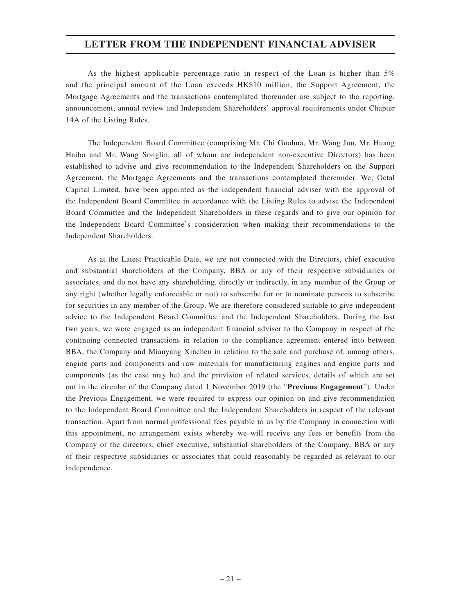As the highest applicable percentage ratio in respect of the Loan is higher than 5% and the principal amount of the Loan exceeds HK\$10 million, the Support Agreement, the Mortgage Agreements and the transactions contemplated thereunder are subject to the reporting, announcement, annual review and Independent Shareholders' approval requirements under Chapter 14A of the Listing Rules.

The Independent Board Committee (comprising Mr. Chi Guohua, Mr. Wang Jun, Mr. Huang Haibo and Mr. Wang Songlin, all of whom are independent non-executive Directors) has been established to advise and give recommendation to the Independent Shareholders on the Support Agreement, the Mortgage Agreements and the transactions contemplated thereunder. We, Octal Capital Limited, have been appointed as the independent financial adviser with the approval of the Independent Board Committee in accordance with the Listing Rules to advise the Independent Board Committee and the Independent Shareholders in these regards and to give our opinion for the Independent Board Committee's consideration when making their recommendations to the Independent Shareholders.

As at the Latest Practicable Date, we are not connected with the Directors, chief executive and substantial shareholders of the Company, BBA or any of their respective subsidiaries or associates, and do not have any shareholding, directly or indirectly, in any member of the Group or any right (whether legally enforceable or not) to subscribe for or to nominate persons to subscribe for securities in any member of the Group. We are therefore considered suitable to give independent advice to the Independent Board Committee and the Independent Shareholders. During the last two years, we were engaged as an independent financial adviser to the Company in respect of the continuing connected transactions in relation to the compliance agreement entered into between BBA, the Company and Mianyang Xinchen in relation to the sale and purchase of, among others, engine parts and components and raw materials for manufacturing engines and engine parts and components (as the case may be) and the provision of related services, details of which are set out in the circular of the Company dated 1 November 2019 (the "**Previous Engagement**"). Under the Previous Engagement, we were required to express our opinion on and give recommendation to the Independent Board Committee and the Independent Shareholders in respect of the relevant transaction. Apart from normal professional fees payable to us by the Company in connection with this appointment, no arrangement exists whereby we will receive any fees or benefits from the Company or the directors, chief executive, substantial shareholders of the Company, BBA or any of their respective subsidiaries or associates that could reasonably be regarded as relevant to our independence.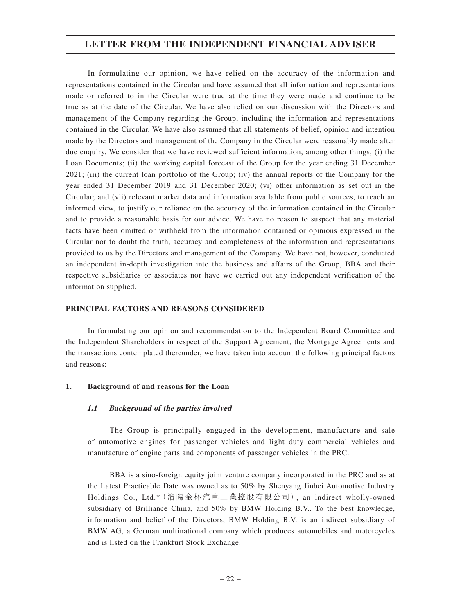In formulating our opinion, we have relied on the accuracy of the information and representations contained in the Circular and have assumed that all information and representations made or referred to in the Circular were true at the time they were made and continue to be true as at the date of the Circular. We have also relied on our discussion with the Directors and management of the Company regarding the Group, including the information and representations contained in the Circular. We have also assumed that all statements of belief, opinion and intention made by the Directors and management of the Company in the Circular were reasonably made after due enquiry. We consider that we have reviewed sufficient information, among other things, (i) the Loan Documents; (ii) the working capital forecast of the Group for the year ending 31 December 2021; (iii) the current loan portfolio of the Group; (iv) the annual reports of the Company for the year ended 31 December 2019 and 31 December 2020; (vi) other information as set out in the Circular; and (vii) relevant market data and information available from public sources, to reach an informed view, to justify our reliance on the accuracy of the information contained in the Circular and to provide a reasonable basis for our advice. We have no reason to suspect that any material facts have been omitted or withheld from the information contained or opinions expressed in the Circular nor to doubt the truth, accuracy and completeness of the information and representations provided to us by the Directors and management of the Company. We have not, however, conducted an independent in-depth investigation into the business and affairs of the Group, BBA and their respective subsidiaries or associates nor have we carried out any independent verification of the information supplied.

#### **PRINCIPAL FACTORS AND REASONS CONSIDERED**

In formulating our opinion and recommendation to the Independent Board Committee and the Independent Shareholders in respect of the Support Agreement, the Mortgage Agreements and the transactions contemplated thereunder, we have taken into account the following principal factors and reasons:

#### **1. Background of and reasons for the Loan**

#### **1.1 Background of the parties involved**

The Group is principally engaged in the development, manufacture and sale of automotive engines for passenger vehicles and light duty commercial vehicles and manufacture of engine parts and components of passenger vehicles in the PRC.

BBA is a sino-foreign equity joint venture company incorporated in the PRC and as at the Latest Practicable Date was owned as to 50% by Shenyang Jinbei Automotive Industry Holdings Co., Ltd.\*(瀋陽金杯汽車工業控股有限公司), an indirect wholly-owned subsidiary of Brilliance China, and 50% by BMW Holding B.V.. To the best knowledge, information and belief of the Directors, BMW Holding B.V. is an indirect subsidiary of BMW AG, a German multinational company which produces automobiles and motorcycles and is listed on the Frankfurt Stock Exchange.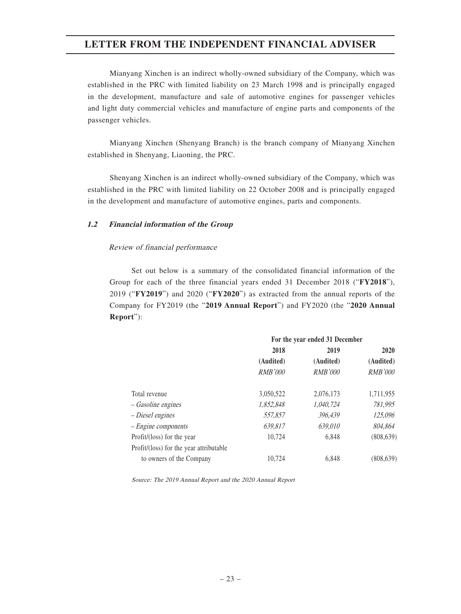Mianyang Xinchen is an indirect wholly-owned subsidiary of the Company, which was established in the PRC with limited liability on 23 March 1998 and is principally engaged in the development, manufacture and sale of automotive engines for passenger vehicles and light duty commercial vehicles and manufacture of engine parts and components of the passenger vehicles.

Mianyang Xinchen (Shenyang Branch) is the branch company of Mianyang Xinchen established in Shenyang, Liaoning, the PRC.

Shenyang Xinchen is an indirect wholly-owned subsidiary of the Company, which was established in the PRC with limited liability on 22 October 2008 and is principally engaged in the development and manufacture of automotive engines, parts and components.

#### **1.2 Financial information of the Group**

## Review of financial performance

Set out below is a summary of the consolidated financial information of the Group for each of the three financial years ended 31 December 2018 ("**FY2018**"), 2019 ("**FY2019**") and 2020 ("**FY2020**") as extracted from the annual reports of the Company for FY2019 (the "**2019 Annual Report**") and FY2020 (the "**2020 Annual Report**"):

|                                         | For the year ended 31 December |                |                |
|-----------------------------------------|--------------------------------|----------------|----------------|
|                                         | 2018                           | 2019           | 2020           |
|                                         | (Audited)                      | (Audited)      | (Audited)      |
|                                         | <b>RMB'000</b>                 | <i>RMB'000</i> | <b>RMB'000</b> |
| Total revenue                           | 3,050,522                      | 2,076,173      | 1,711,955      |
| – Gasoline engines                      | 1,852,848                      | 1,040,724      | 781,995        |
| - Diesel engines                        | 557,857                        | 396,439        | 125,096        |
| $-$ <i>Engine components</i>            | 639,817                        | 639,010        | 804,864        |
| Profit/(loss) for the year              | 10.724                         | 6.848          | (808, 639)     |
| Profit/(loss) for the year attributable |                                |                |                |
| to owners of the Company                | 10.724                         | 6.848          | (808,639)      |

Source: The 2019 Annual Report and the 2020 Annual Report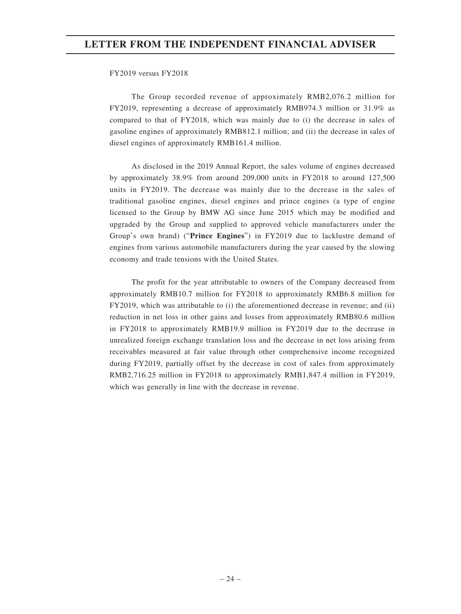#### FY2019 versus FY2018

The Group recorded revenue of approximately RMB2,076.2 million for FY2019, representing a decrease of approximately RMB974.3 million or 31.9% as compared to that of FY2018, which was mainly due to (i) the decrease in sales of gasoline engines of approximately RMB812.1 million; and (ii) the decrease in sales of diesel engines of approximately RMB161.4 million.

As disclosed in the 2019 Annual Report, the sales volume of engines decreased by approximately 38.9% from around 209,000 units in FY2018 to around 127,500 units in FY2019. The decrease was mainly due to the decrease in the sales of traditional gasoline engines, diesel engines and prince engines (a type of engine licensed to the Group by BMW AG since June 2015 which may be modified and upgraded by the Group and supplied to approved vehicle manufacturers under the Group's own brand) ("**Prince Engines**") in FY2019 due to lacklustre demand of engines from various automobile manufacturers during the year caused by the slowing economy and trade tensions with the United States.

The profit for the year attributable to owners of the Company decreased from approximately RMB10.7 million for FY2018 to approximately RMB6.8 million for FY2019, which was attributable to (i) the aforementioned decrease in revenue; and (ii) reduction in net loss in other gains and losses from approximately RMB80.6 million in FY2018 to approximately RMB19.9 million in FY2019 due to the decrease in unrealized foreign exchange translation loss and the decrease in net loss arising from receivables measured at fair value through other comprehensive income recognized during FY2019, partially offset by the decrease in cost of sales from approximately RMB2,716.25 million in FY2018 to approximately RMB1,847.4 million in FY2019, which was generally in line with the decrease in revenue.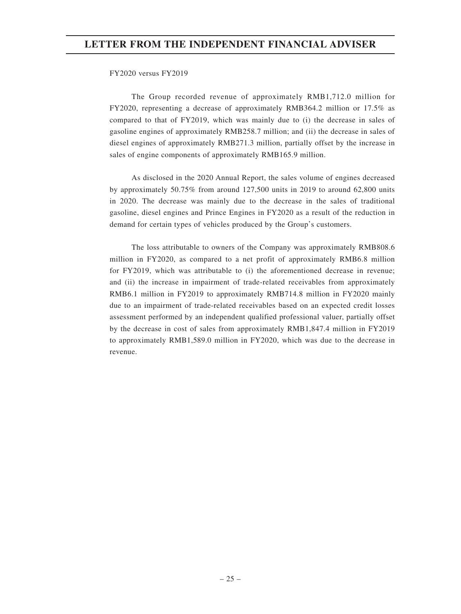#### FY2020 versus FY2019

The Group recorded revenue of approximately RMB1,712.0 million for FY2020, representing a decrease of approximately RMB364.2 million or 17.5% as compared to that of FY2019, which was mainly due to (i) the decrease in sales of gasoline engines of approximately RMB258.7 million; and (ii) the decrease in sales of diesel engines of approximately RMB271.3 million, partially offset by the increase in sales of engine components of approximately RMB165.9 million.

As disclosed in the 2020 Annual Report, the sales volume of engines decreased by approximately 50.75% from around 127,500 units in 2019 to around 62,800 units in 2020. The decrease was mainly due to the decrease in the sales of traditional gasoline, diesel engines and Prince Engines in FY2020 as a result of the reduction in demand for certain types of vehicles produced by the Group's customers.

The loss attributable to owners of the Company was approximately RMB808.6 million in FY2020, as compared to a net profit of approximately RMB6.8 million for FY2019, which was attributable to (i) the aforementioned decrease in revenue; and (ii) the increase in impairment of trade-related receivables from approximately RMB6.1 million in FY2019 to approximately RMB714.8 million in FY2020 mainly due to an impairment of trade-related receivables based on an expected credit losses assessment performed by an independent qualified professional valuer, partially offset by the decrease in cost of sales from approximately RMB1,847.4 million in FY2019 to approximately RMB1,589.0 million in FY2020, which was due to the decrease in revenue.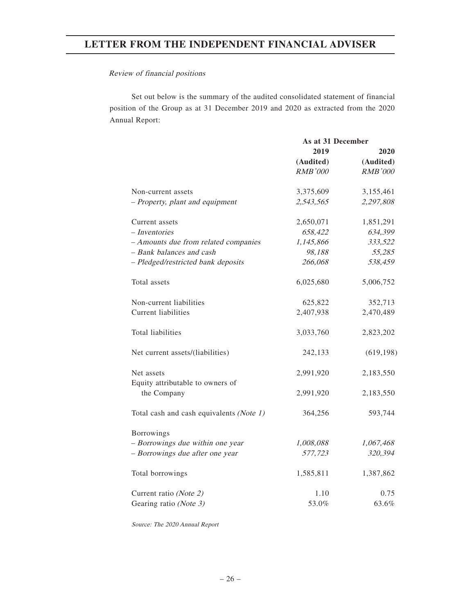#### Review of financial positions

Set out below is the summary of the audited consolidated statement of financial position of the Group as at 31 December 2019 and 2020 as extracted from the 2020 Annual Report:

|                                                | As at 31 December |                |
|------------------------------------------------|-------------------|----------------|
|                                                | 2019              | 2020           |
|                                                | (Audited)         | (Audited)      |
|                                                | <b>RMB'000</b>    | <b>RMB'000</b> |
| Non-current assets                             | 3,375,609         | 3,155,461      |
| - Property, plant and equipment                | 2,543,565         | 2,297,808      |
| Current assets                                 | 2,650,071         | 1,851,291      |
| - Inventories                                  | 658,422           | 634,399        |
| - Amounts due from related companies           | 1,145,866         | 333,522        |
| - Bank balances and cash                       | 98,188            | 55,285         |
| - Pledged/restricted bank deposits             | 266,068           | 538,459        |
| Total assets                                   | 6,025,680         | 5,006,752      |
| Non-current liabilities                        | 625,822           | 352,713        |
| <b>Current liabilities</b>                     | 2,407,938         | 2,470,489      |
| Total liabilities                              | 3,033,760         | 2,823,202      |
| Net current assets/(liabilities)               | 242,133           | (619, 198)     |
| Net assets<br>Equity attributable to owners of | 2,991,920         | 2,183,550      |
| the Company                                    | 2,991,920         | 2,183,550      |
| Total cash and cash equivalents (Note 1)       | 364,256           | 593,744        |
| <b>Borrowings</b>                              |                   |                |
| - Borrowings due within one year               | 1,008,088         | 1,067,468      |
| - Borrowings due after one year                | 577,723           | 320,394        |
| Total borrowings                               | 1,585,811         | 1,387,862      |
| Current ratio (Note 2)                         | 1.10              | 0.75           |
| Gearing ratio (Note 3)                         | 53.0%             | 63.6%          |

Source: The 2020 Annual Report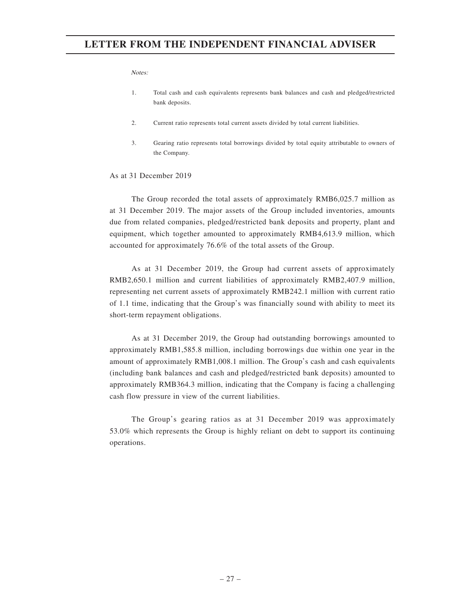#### **Notes**

- 1. Total cash and cash equivalents represents bank balances and cash and pledged/restricted bank deposits.
- 2. Current ratio represents total current assets divided by total current liabilities.
- 3. Gearing ratio represents total borrowings divided by total equity attributable to owners of the Company.

#### As at 31 December 2019

The Group recorded the total assets of approximately RMB6,025.7 million as at 31 December 2019. The major assets of the Group included inventories, amounts due from related companies, pledged/restricted bank deposits and property, plant and equipment, which together amounted to approximately RMB4,613.9 million, which accounted for approximately 76.6% of the total assets of the Group.

As at 31 December 2019, the Group had current assets of approximately RMB2,650.1 million and current liabilities of approximately RMB2,407.9 million, representing net current assets of approximately RMB242.1 million with current ratio of 1.1 time, indicating that the Group's was financially sound with ability to meet its short-term repayment obligations.

As at 31 December 2019, the Group had outstanding borrowings amounted to approximately RMB1,585.8 million, including borrowings due within one year in the amount of approximately RMB1,008.1 million. The Group's cash and cash equivalents (including bank balances and cash and pledged/restricted bank deposits) amounted to approximately RMB364.3 million, indicating that the Company is facing a challenging cash flow pressure in view of the current liabilities.

The Group's gearing ratios as at 31 December 2019 was approximately 53.0% which represents the Group is highly reliant on debt to support its continuing operations.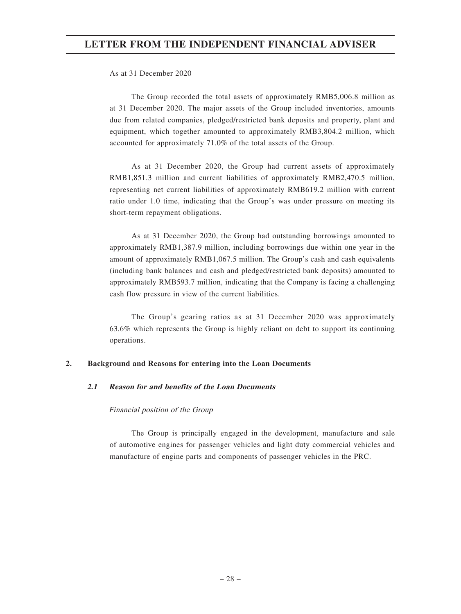## As at 31 December 2020

The Group recorded the total assets of approximately RMB5,006.8 million as at 31 December 2020. The major assets of the Group included inventories, amounts due from related companies, pledged/restricted bank deposits and property, plant and equipment, which together amounted to approximately RMB3,804.2 million, which accounted for approximately 71.0% of the total assets of the Group.

As at 31 December 2020, the Group had current assets of approximately RMB1,851.3 million and current liabilities of approximately RMB2,470.5 million, representing net current liabilities of approximately RMB619.2 million with current ratio under 1.0 time, indicating that the Group's was under pressure on meeting its short-term repayment obligations.

As at 31 December 2020, the Group had outstanding borrowings amounted to approximately RMB1,387.9 million, including borrowings due within one year in the amount of approximately RMB1,067.5 million. The Group's cash and cash equivalents (including bank balances and cash and pledged/restricted bank deposits) amounted to approximately RMB593.7 million, indicating that the Company is facing a challenging cash flow pressure in view of the current liabilities.

The Group's gearing ratios as at 31 December 2020 was approximately 63.6% which represents the Group is highly reliant on debt to support its continuing operations.

#### **2. Background and Reasons for entering into the Loan Documents**

#### **2.1 Reason for and benefits of the Loan Documents**

#### Financial position of the Group

The Group is principally engaged in the development, manufacture and sale of automotive engines for passenger vehicles and light duty commercial vehicles and manufacture of engine parts and components of passenger vehicles in the PRC.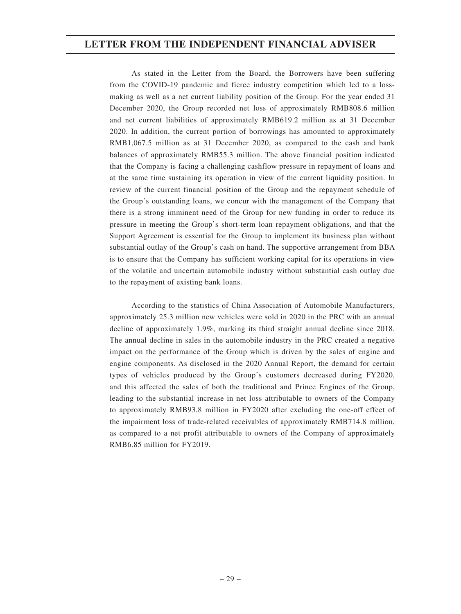As stated in the Letter from the Board, the Borrowers have been suffering from the COVID-19 pandemic and fierce industry competition which led to a lossmaking as well as a net current liability position of the Group. For the year ended 31 December 2020, the Group recorded net loss of approximately RMB808.6 million and net current liabilities of approximately RMB619.2 million as at 31 December 2020. In addition, the current portion of borrowings has amounted to approximately RMB1,067.5 million as at 31 December 2020, as compared to the cash and bank balances of approximately RMB55.3 million. The above financial position indicated that the Company is facing a challenging cashflow pressure in repayment of loans and at the same time sustaining its operation in view of the current liquidity position. In review of the current financial position of the Group and the repayment schedule of the Group's outstanding loans, we concur with the management of the Company that there is a strong imminent need of the Group for new funding in order to reduce its pressure in meeting the Group's short-term loan repayment obligations, and that the Support Agreement is essential for the Group to implement its business plan without substantial outlay of the Group's cash on hand. The supportive arrangement from BBA is to ensure that the Company has sufficient working capital for its operations in view of the volatile and uncertain automobile industry without substantial cash outlay due to the repayment of existing bank loans.

According to the statistics of China Association of Automobile Manufacturers, approximately 25.3 million new vehicles were sold in 2020 in the PRC with an annual decline of approximately 1.9%, marking its third straight annual decline since 2018. The annual decline in sales in the automobile industry in the PRC created a negative impact on the performance of the Group which is driven by the sales of engine and engine components. As disclosed in the 2020 Annual Report, the demand for certain types of vehicles produced by the Group's customers decreased during FY2020, and this affected the sales of both the traditional and Prince Engines of the Group, leading to the substantial increase in net loss attributable to owners of the Company to approximately RMB93.8 million in FY2020 after excluding the one-off effect of the impairment loss of trade-related receivables of approximately RMB714.8 million, as compared to a net profit attributable to owners of the Company of approximately RMB6.85 million for FY2019.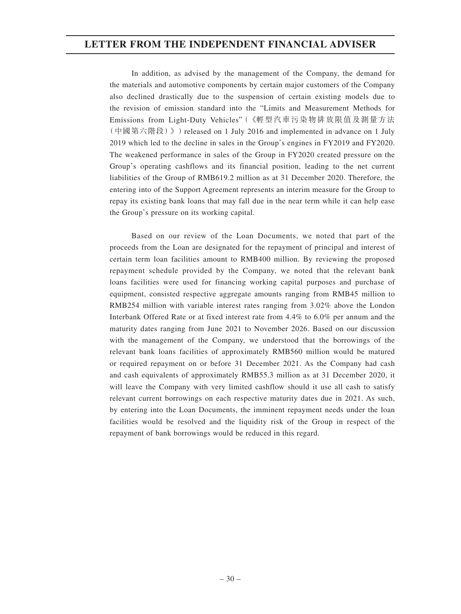In addition, as advised by the management of the Company, the demand for the materials and automotive components by certain major customers of the Company also declined drastically due to the suspension of certain existing models due to the revision of emission standard into the "Limits and Measurement Methods for Emissions from Light-Duty Vehicles"(《輕型汽車污染物排放限值及測量方法 (中國第六階段)》)released on 1 July 2016 and implemented in advance on 1 July 2019 which led to the decline in sales in the Group's engines in FY2019 and FY2020. The weakened performance in sales of the Group in FY2020 created pressure on the Group's operating cashflows and its financial position, leading to the net current liabilities of the Group of RMB619.2 million as at 31 December 2020. Therefore, the entering into of the Support Agreement represents an interim measure for the Group to repay its existing bank loans that may fall due in the near term while it can help ease the Group's pressure on its working capital.

Based on our review of the Loan Documents, we noted that part of the proceeds from the Loan are designated for the repayment of principal and interest of certain term loan facilities amount to RMB400 million. By reviewing the proposed repayment schedule provided by the Company, we noted that the relevant bank loans facilities were used for financing working capital purposes and purchase of equipment, consisted respective aggregate amounts ranging from RMB45 million to RMB254 million with variable interest rates ranging from 3.02% above the London Interbank Offered Rate or at fixed interest rate from 4.4% to 6.0% per annum and the maturity dates ranging from June 2021 to November 2026. Based on our discussion with the management of the Company, we understood that the borrowings of the relevant bank loans facilities of approximately RMB560 million would be matured or required repayment on or before 31 December 2021. As the Company had cash and cash equivalents of approximately RMB55.3 million as at 31 December 2020, it will leave the Company with very limited cashflow should it use all cash to satisfy relevant current borrowings on each respective maturity dates due in 2021. As such, by entering into the Loan Documents, the imminent repayment needs under the loan facilities would be resolved and the liquidity risk of the Group in respect of the repayment of bank borrowings would be reduced in this regard.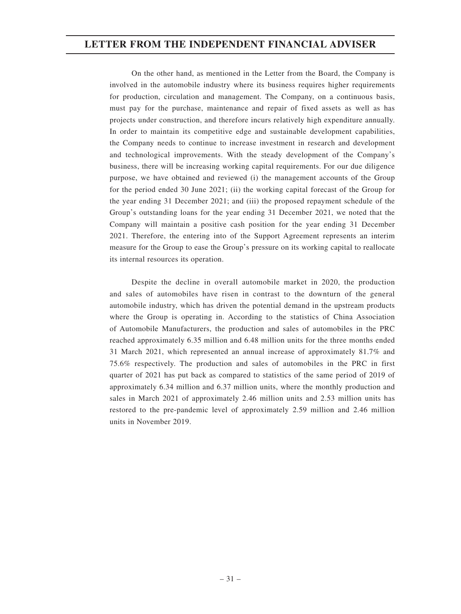On the other hand, as mentioned in the Letter from the Board, the Company is involved in the automobile industry where its business requires higher requirements for production, circulation and management. The Company, on a continuous basis, must pay for the purchase, maintenance and repair of fixed assets as well as has projects under construction, and therefore incurs relatively high expenditure annually. In order to maintain its competitive edge and sustainable development capabilities, the Company needs to continue to increase investment in research and development and technological improvements. With the steady development of the Company's business, there will be increasing working capital requirements. For our due diligence purpose, we have obtained and reviewed (i) the management accounts of the Group for the period ended 30 June 2021; (ii) the working capital forecast of the Group for the year ending 31 December 2021; and (iii) the proposed repayment schedule of the Group's outstanding loans for the year ending 31 December 2021, we noted that the Company will maintain a positive cash position for the year ending 31 December 2021. Therefore, the entering into of the Support Agreement represents an interim measure for the Group to ease the Group's pressure on its working capital to reallocate its internal resources its operation.

Despite the decline in overall automobile market in 2020, the production and sales of automobiles have risen in contrast to the downturn of the general automobile industry, which has driven the potential demand in the upstream products where the Group is operating in. According to the statistics of China Association of Automobile Manufacturers, the production and sales of automobiles in the PRC reached approximately 6.35 million and 6.48 million units for the three months ended 31 March 2021, which represented an annual increase of approximately 81.7% and 75.6% respectively. The production and sales of automobiles in the PRC in first quarter of 2021 has put back as compared to statistics of the same period of 2019 of approximately 6.34 million and 6.37 million units, where the monthly production and sales in March 2021 of approximately 2.46 million units and 2.53 million units has restored to the pre-pandemic level of approximately 2.59 million and 2.46 million units in November 2019.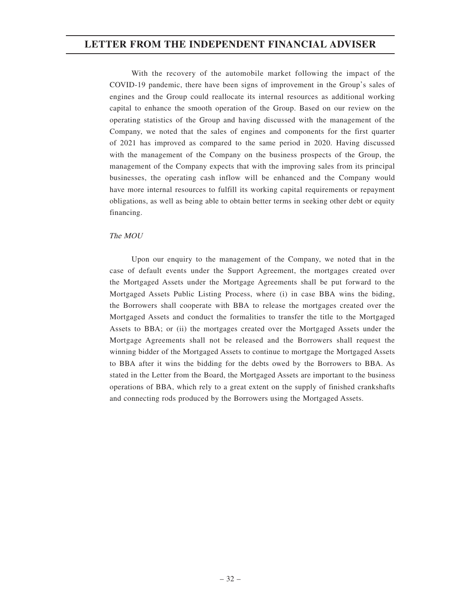With the recovery of the automobile market following the impact of the COVID-19 pandemic, there have been signs of improvement in the Group's sales of engines and the Group could reallocate its internal resources as additional working capital to enhance the smooth operation of the Group. Based on our review on the operating statistics of the Group and having discussed with the management of the Company, we noted that the sales of engines and components for the first quarter of 2021 has improved as compared to the same period in 2020. Having discussed with the management of the Company on the business prospects of the Group, the management of the Company expects that with the improving sales from its principal businesses, the operating cash inflow will be enhanced and the Company would have more internal resources to fulfill its working capital requirements or repayment obligations, as well as being able to obtain better terms in seeking other debt or equity financing.

#### The MOU

Upon our enquiry to the management of the Company, we noted that in the case of default events under the Support Agreement, the mortgages created over the Mortgaged Assets under the Mortgage Agreements shall be put forward to the Mortgaged Assets Public Listing Process, where (i) in case BBA wins the biding, the Borrowers shall cooperate with BBA to release the mortgages created over the Mortgaged Assets and conduct the formalities to transfer the title to the Mortgaged Assets to BBA; or (ii) the mortgages created over the Mortgaged Assets under the Mortgage Agreements shall not be released and the Borrowers shall request the winning bidder of the Mortgaged Assets to continue to mortgage the Mortgaged Assets to BBA after it wins the bidding for the debts owed by the Borrowers to BBA. As stated in the Letter from the Board, the Mortgaged Assets are important to the business operations of BBA, which rely to a great extent on the supply of finished crankshafts and connecting rods produced by the Borrowers using the Mortgaged Assets.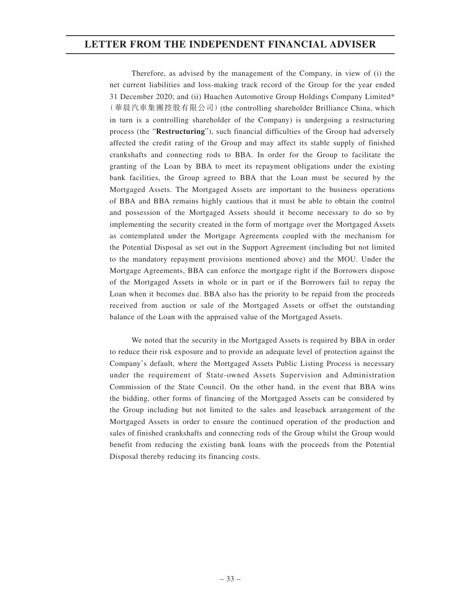Therefore, as advised by the management of the Company, in view of (i) the net current liabilities and loss-making track record of the Group for the year ended 31 December 2020; and (ii) Huachen Automotive Group Holdings Company Limited\* (華晨汽車集團控股有限公司)(the controlling shareholder Brilliance China, which in turn is a controlling shareholder of the Company) is undergoing a restructuring process (the "**Restructuring**"), such financial difficulties of the Group had adversely affected the credit rating of the Group and may affect its stable supply of finished crankshafts and connecting rods to BBA. In order for the Group to facilitate the granting of the Loan by BBA to meet its repayment obligations under the existing bank facilities, the Group agreed to BBA that the Loan must be secured by the Mortgaged Assets. The Mortgaged Assets are important to the business operations of BBA and BBA remains highly cautious that it must be able to obtain the control and possession of the Mortgaged Assets should it become necessary to do so by implementing the security created in the form of mortgage over the Mortgaged Assets as contemplated under the Mortgage Agreements coupled with the mechanism for the Potential Disposal as set out in the Support Agreement (including but not limited to the mandatory repayment provisions mentioned above) and the MOU. Under the Mortgage Agreements, BBA can enforce the mortgage right if the Borrowers dispose of the Mortgaged Assets in whole or in part or if the Borrowers fail to repay the Loan when it becomes due. BBA also has the priority to be repaid from the proceeds received from auction or sale of the Mortgaged Assets or offset the outstanding balance of the Loan with the appraised value of the Mortgaged Assets.

We noted that the security in the Mortgaged Assets is required by BBA in order to reduce their risk exposure and to provide an adequate level of protection against the Company's default, where the Mortgaged Assets Public Listing Process is necessary under the requirement of State-owned Assets Supervision and Administration Commission of the State Council. On the other hand, in the event that BBA wins the bidding, other forms of financing of the Mortgaged Assets can be considered by the Group including but not limited to the sales and leaseback arrangement of the Mortgaged Assets in order to ensure the continued operation of the production and sales of finished crankshafts and connecting rods of the Group whilst the Group would benefit from reducing the existing bank loans with the proceeds from the Potential Disposal thereby reducing its financing costs.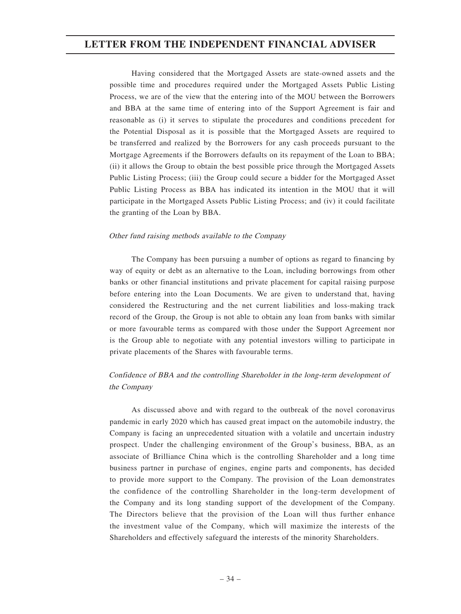Having considered that the Mortgaged Assets are state-owned assets and the possible time and procedures required under the Mortgaged Assets Public Listing Process, we are of the view that the entering into of the MOU between the Borrowers and BBA at the same time of entering into of the Support Agreement is fair and reasonable as (i) it serves to stipulate the procedures and conditions precedent for the Potential Disposal as it is possible that the Mortgaged Assets are required to be transferred and realized by the Borrowers for any cash proceeds pursuant to the Mortgage Agreements if the Borrowers defaults on its repayment of the Loan to BBA; (ii) it allows the Group to obtain the best possible price through the Mortgaged Assets Public Listing Process; (iii) the Group could secure a bidder for the Mortgaged Asset Public Listing Process as BBA has indicated its intention in the MOU that it will participate in the Mortgaged Assets Public Listing Process; and (iv) it could facilitate the granting of the Loan by BBA.

#### Other fund raising methods available to the Company

The Company has been pursuing a number of options as regard to financing by way of equity or debt as an alternative to the Loan, including borrowings from other banks or other financial institutions and private placement for capital raising purpose before entering into the Loan Documents. We are given to understand that, having considered the Restructuring and the net current liabilities and loss-making track record of the Group, the Group is not able to obtain any loan from banks with similar or more favourable terms as compared with those under the Support Agreement nor is the Group able to negotiate with any potential investors willing to participate in private placements of the Shares with favourable terms.

## Confidence of BBA and the controlling Shareholder in the long-term development of the Company

As discussed above and with regard to the outbreak of the novel coronavirus pandemic in early 2020 which has caused great impact on the automobile industry, the Company is facing an unprecedented situation with a volatile and uncertain industry prospect. Under the challenging environment of the Group's business, BBA, as an associate of Brilliance China which is the controlling Shareholder and a long time business partner in purchase of engines, engine parts and components, has decided to provide more support to the Company. The provision of the Loan demonstrates the confidence of the controlling Shareholder in the long-term development of the Company and its long standing support of the development of the Company. The Directors believe that the provision of the Loan will thus further enhance the investment value of the Company, which will maximize the interests of the Shareholders and effectively safeguard the interests of the minority Shareholders.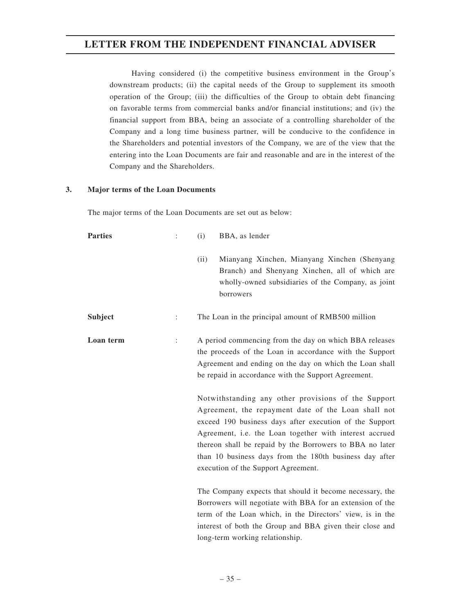Having considered (i) the competitive business environment in the Group's downstream products; (ii) the capital needs of the Group to supplement its smooth operation of the Group; (iii) the difficulties of the Group to obtain debt financing on favorable terms from commercial banks and/or financial institutions; and (iv) the financial support from BBA, being an associate of a controlling shareholder of the Company and a long time business partner, will be conducive to the confidence in the Shareholders and potential investors of the Company, we are of the view that the entering into the Loan Documents are fair and reasonable and are in the interest of the Company and the Shareholders.

#### **3. Major terms of the Loan Documents**

The major terms of the Loan Documents are set out as below:

| <b>Parties</b> |   | BBA, as lender<br>(i)                                                                                                                                                                                                                                                                                                                                                                                                                                                                                                                                                                                                                 |
|----------------|---|---------------------------------------------------------------------------------------------------------------------------------------------------------------------------------------------------------------------------------------------------------------------------------------------------------------------------------------------------------------------------------------------------------------------------------------------------------------------------------------------------------------------------------------------------------------------------------------------------------------------------------------|
|                |   | Mianyang Xinchen, Mianyang Xinchen (Shenyang<br>(ii)<br>Branch) and Shenyang Xinchen, all of which are<br>wholly-owned subsidiaries of the Company, as joint<br>borrowers                                                                                                                                                                                                                                                                                                                                                                                                                                                             |
| <b>Subject</b> | ÷ | The Loan in the principal amount of RMB500 million                                                                                                                                                                                                                                                                                                                                                                                                                                                                                                                                                                                    |
| Loan term      |   | A period commencing from the day on which BBA releases<br>the proceeds of the Loan in accordance with the Support<br>Agreement and ending on the day on which the Loan shall<br>be repaid in accordance with the Support Agreement.<br>Notwithstanding any other provisions of the Support<br>Agreement, the repayment date of the Loan shall not<br>exceed 190 business days after execution of the Support<br>Agreement, i.e. the Loan together with interest accrued<br>thereon shall be repaid by the Borrowers to BBA no later<br>than 10 business days from the 180th business day after<br>execution of the Support Agreement. |
|                |   | The Company expects that should it become necessary, the<br>Borrowers will negotiate with BBA for an extension of the<br>term of the Loan which, in the Directors' view, is in the<br>interest of both the Group and BBA given their close and<br>long-term working relationship.                                                                                                                                                                                                                                                                                                                                                     |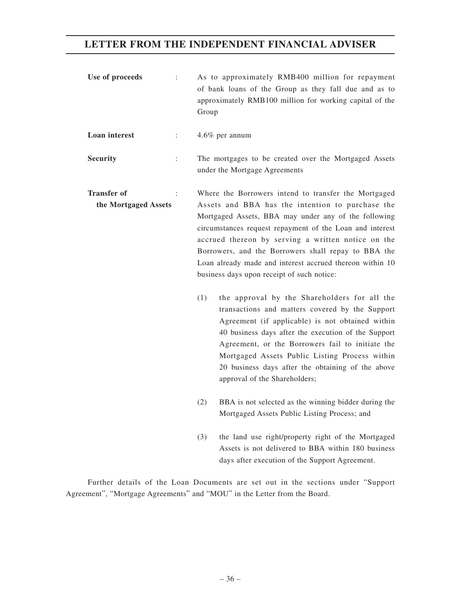| Use of proceeds      |                      | $\ddot{\phantom{a}}$ | Group                                                                                                                                                                                                                                                                                                                                                                                                                                                                                                                                                                                                                                                                                                                                                                                                                                                                | As to approximately RMB400 million for repayment<br>of bank loans of the Group as they fall due and as to<br>approximately RMB100 million for working capital of the |
|----------------------|----------------------|----------------------|----------------------------------------------------------------------------------------------------------------------------------------------------------------------------------------------------------------------------------------------------------------------------------------------------------------------------------------------------------------------------------------------------------------------------------------------------------------------------------------------------------------------------------------------------------------------------------------------------------------------------------------------------------------------------------------------------------------------------------------------------------------------------------------------------------------------------------------------------------------------|----------------------------------------------------------------------------------------------------------------------------------------------------------------------|
| <b>Loan</b> interest |                      | $\ddot{\ddot{}}$     |                                                                                                                                                                                                                                                                                                                                                                                                                                                                                                                                                                                                                                                                                                                                                                                                                                                                      | 4.6% per annum                                                                                                                                                       |
| <b>Security</b>      |                      | $\ddot{\cdot}$       | The mortgages to be created over the Mortgaged Assets<br>under the Mortgage Agreements                                                                                                                                                                                                                                                                                                                                                                                                                                                                                                                                                                                                                                                                                                                                                                               |                                                                                                                                                                      |
| <b>Transfer of</b>   | the Mortgaged Assets |                      | Where the Borrowers intend to transfer the Mortgaged<br>Assets and BBA has the intention to purchase the<br>Mortgaged Assets, BBA may under any of the following<br>circumstances request repayment of the Loan and interest<br>accrued thereon by serving a written notice on the<br>Borrowers, and the Borrowers shall repay to BBA the<br>Loan already made and interest accrued thereon within 10<br>business days upon receipt of such notice:<br>(1)<br>the approval by the Shareholders for all the<br>transactions and matters covered by the Support<br>Agreement (if applicable) is not obtained within<br>40 business days after the execution of the Support<br>Agreement, or the Borrowers fail to initiate the<br>Mortgaged Assets Public Listing Process within<br>20 business days after the obtaining of the above<br>approval of the Shareholders; |                                                                                                                                                                      |
|                      |                      |                      | (2)                                                                                                                                                                                                                                                                                                                                                                                                                                                                                                                                                                                                                                                                                                                                                                                                                                                                  | BBA is not selected as the winning bidder during the<br>Mortgaged Assets Public Listing Process; and                                                                 |
|                      |                      |                      | (3)                                                                                                                                                                                                                                                                                                                                                                                                                                                                                                                                                                                                                                                                                                                                                                                                                                                                  | the land use right/property right of the Mortgaged<br>Assets is not delivered to BBA within 180 business<br>days after execution of the Support Agreement.           |

Further details of the Loan Documents are set out in the sections under "Support Agreement", "Mortgage Agreements" and "MOU" in the Letter from the Board.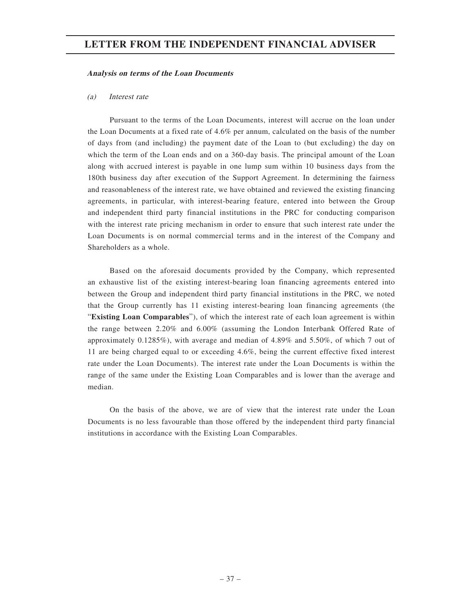#### **Analysis on terms of the Loan Documents**

#### (a) Interest rate

Pursuant to the terms of the Loan Documents, interest will accrue on the loan under the Loan Documents at a fixed rate of 4.6% per annum, calculated on the basis of the number of days from (and including) the payment date of the Loan to (but excluding) the day on which the term of the Loan ends and on a 360-day basis. The principal amount of the Loan along with accrued interest is payable in one lump sum within 10 business days from the 180th business day after execution of the Support Agreement. In determining the fairness and reasonableness of the interest rate, we have obtained and reviewed the existing financing agreements, in particular, with interest-bearing feature, entered into between the Group and independent third party financial institutions in the PRC for conducting comparison with the interest rate pricing mechanism in order to ensure that such interest rate under the Loan Documents is on normal commercial terms and in the interest of the Company and Shareholders as a whole.

Based on the aforesaid documents provided by the Company, which represented an exhaustive list of the existing interest-bearing loan financing agreements entered into between the Group and independent third party financial institutions in the PRC, we noted that the Group currently has 11 existing interest-bearing loan financing agreements (the "**Existing Loan Comparables**"), of which the interest rate of each loan agreement is within the range between 2.20% and 6.00% (assuming the London Interbank Offered Rate of approximately 0.1285%), with average and median of 4.89% and 5.50%, of which 7 out of 11 are being charged equal to or exceeding 4.6%, being the current effective fixed interest rate under the Loan Documents). The interest rate under the Loan Documents is within the range of the same under the Existing Loan Comparables and is lower than the average and median.

On the basis of the above, we are of view that the interest rate under the Loan Documents is no less favourable than those offered by the independent third party financial institutions in accordance with the Existing Loan Comparables.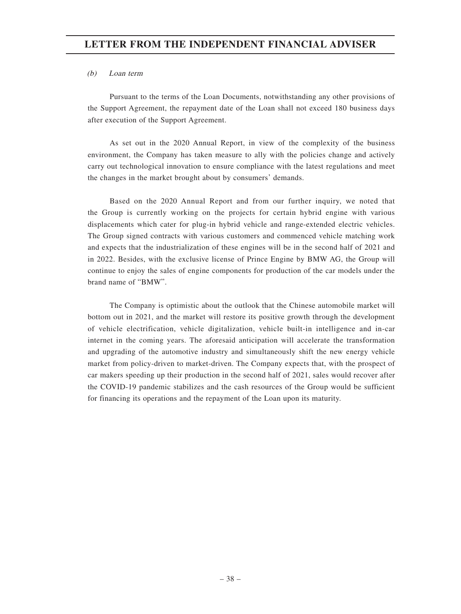## (b) Loan term

Pursuant to the terms of the Loan Documents, notwithstanding any other provisions of the Support Agreement, the repayment date of the Loan shall not exceed 180 business days after execution of the Support Agreement.

As set out in the 2020 Annual Report, in view of the complexity of the business environment, the Company has taken measure to ally with the policies change and actively carry out technological innovation to ensure compliance with the latest regulations and meet the changes in the market brought about by consumers' demands.

Based on the 2020 Annual Report and from our further inquiry, we noted that the Group is currently working on the projects for certain hybrid engine with various displacements which cater for plug-in hybrid vehicle and range-extended electric vehicles. The Group signed contracts with various customers and commenced vehicle matching work and expects that the industrialization of these engines will be in the second half of 2021 and in 2022. Besides, with the exclusive license of Prince Engine by BMW AG, the Group will continue to enjoy the sales of engine components for production of the car models under the brand name of "BMW".

The Company is optimistic about the outlook that the Chinese automobile market will bottom out in 2021, and the market will restore its positive growth through the development of vehicle electrification, vehicle digitalization, vehicle built-in intelligence and in-car internet in the coming years. The aforesaid anticipation will accelerate the transformation and upgrading of the automotive industry and simultaneously shift the new energy vehicle market from policy-driven to market-driven. The Company expects that, with the prospect of car makers speeding up their production in the second half of 2021, sales would recover after the COVID-19 pandemic stabilizes and the cash resources of the Group would be sufficient for financing its operations and the repayment of the Loan upon its maturity.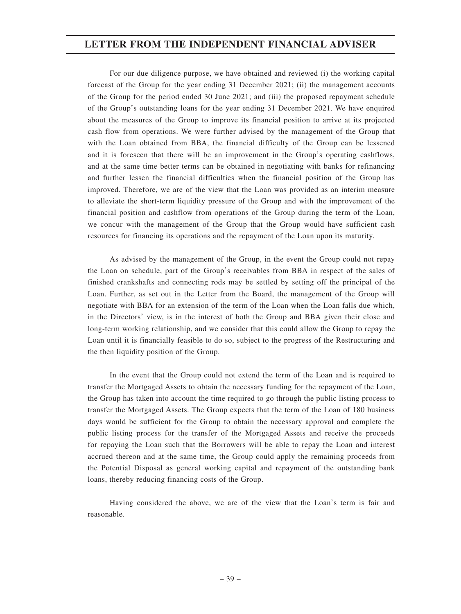For our due diligence purpose, we have obtained and reviewed (i) the working capital forecast of the Group for the year ending 31 December 2021; (ii) the management accounts of the Group for the period ended 30 June 2021; and (iii) the proposed repayment schedule of the Group's outstanding loans for the year ending 31 December 2021. We have enquired about the measures of the Group to improve its financial position to arrive at its projected cash flow from operations. We were further advised by the management of the Group that with the Loan obtained from BBA, the financial difficulty of the Group can be lessened and it is foreseen that there will be an improvement in the Group's operating cashflows, and at the same time better terms can be obtained in negotiating with banks for refinancing and further lessen the financial difficulties when the financial position of the Group has improved. Therefore, we are of the view that the Loan was provided as an interim measure to alleviate the short-term liquidity pressure of the Group and with the improvement of the financial position and cashflow from operations of the Group during the term of the Loan, we concur with the management of the Group that the Group would have sufficient cash resources for financing its operations and the repayment of the Loan upon its maturity.

As advised by the management of the Group, in the event the Group could not repay the Loan on schedule, part of the Group's receivables from BBA in respect of the sales of finished crankshafts and connecting rods may be settled by setting off the principal of the Loan. Further, as set out in the Letter from the Board, the management of the Group will negotiate with BBA for an extension of the term of the Loan when the Loan falls due which, in the Directors' view, is in the interest of both the Group and BBA given their close and long-term working relationship, and we consider that this could allow the Group to repay the Loan until it is financially feasible to do so, subject to the progress of the Restructuring and the then liquidity position of the Group.

In the event that the Group could not extend the term of the Loan and is required to transfer the Mortgaged Assets to obtain the necessary funding for the repayment of the Loan, the Group has taken into account the time required to go through the public listing process to transfer the Mortgaged Assets. The Group expects that the term of the Loan of 180 business days would be sufficient for the Group to obtain the necessary approval and complete the public listing process for the transfer of the Mortgaged Assets and receive the proceeds for repaying the Loan such that the Borrowers will be able to repay the Loan and interest accrued thereon and at the same time, the Group could apply the remaining proceeds from the Potential Disposal as general working capital and repayment of the outstanding bank loans, thereby reducing financing costs of the Group.

Having considered the above, we are of the view that the Loan's term is fair and reasonable.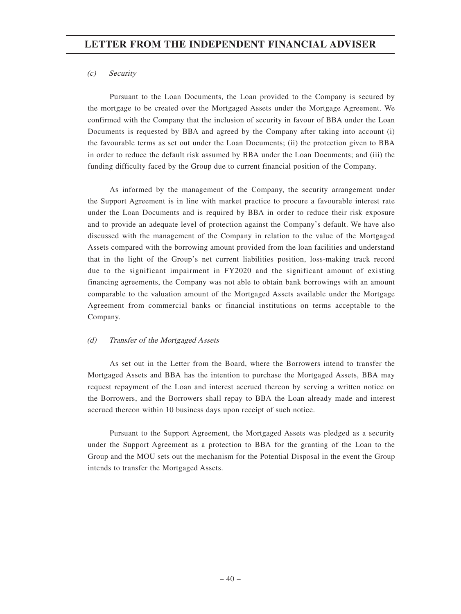## (c) Security

Pursuant to the Loan Documents, the Loan provided to the Company is secured by the mortgage to be created over the Mortgaged Assets under the Mortgage Agreement. We confirmed with the Company that the inclusion of security in favour of BBA under the Loan Documents is requested by BBA and agreed by the Company after taking into account (i) the favourable terms as set out under the Loan Documents; (ii) the protection given to BBA in order to reduce the default risk assumed by BBA under the Loan Documents; and (iii) the funding difficulty faced by the Group due to current financial position of the Company.

As informed by the management of the Company, the security arrangement under the Support Agreement is in line with market practice to procure a favourable interest rate under the Loan Documents and is required by BBA in order to reduce their risk exposure and to provide an adequate level of protection against the Company's default. We have also discussed with the management of the Company in relation to the value of the Mortgaged Assets compared with the borrowing amount provided from the loan facilities and understand that in the light of the Group's net current liabilities position, loss-making track record due to the significant impairment in FY2020 and the significant amount of existing financing agreements, the Company was not able to obtain bank borrowings with an amount comparable to the valuation amount of the Mortgaged Assets available under the Mortgage Agreement from commercial banks or financial institutions on terms acceptable to the Company.

## (d) Transfer of the Mortgaged Assets

As set out in the Letter from the Board, where the Borrowers intend to transfer the Mortgaged Assets and BBA has the intention to purchase the Mortgaged Assets, BBA may request repayment of the Loan and interest accrued thereon by serving a written notice on the Borrowers, and the Borrowers shall repay to BBA the Loan already made and interest accrued thereon within 10 business days upon receipt of such notice.

Pursuant to the Support Agreement, the Mortgaged Assets was pledged as a security under the Support Agreement as a protection to BBA for the granting of the Loan to the Group and the MOU sets out the mechanism for the Potential Disposal in the event the Group intends to transfer the Mortgaged Assets.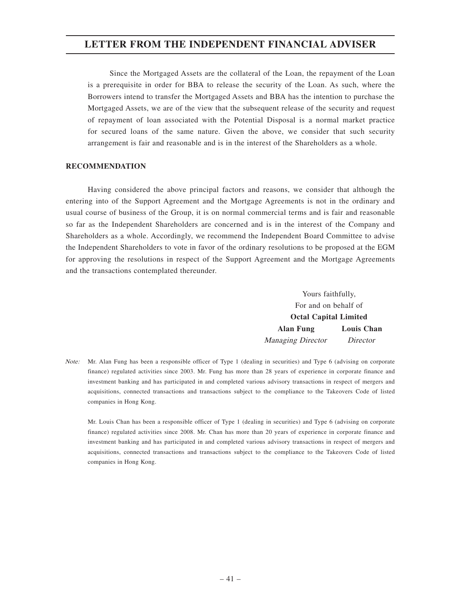Since the Mortgaged Assets are the collateral of the Loan, the repayment of the Loan is a prerequisite in order for BBA to release the security of the Loan. As such, where the Borrowers intend to transfer the Mortgaged Assets and BBA has the intention to purchase the Mortgaged Assets, we are of the view that the subsequent release of the security and request of repayment of loan associated with the Potential Disposal is a normal market practice for secured loans of the same nature. Given the above, we consider that such security arrangement is fair and reasonable and is in the interest of the Shareholders as a whole.

#### **RECOMMENDATION**

Having considered the above principal factors and reasons, we consider that although the entering into of the Support Agreement and the Mortgage Agreements is not in the ordinary and usual course of business of the Group, it is on normal commercial terms and is fair and reasonable so far as the Independent Shareholders are concerned and is in the interest of the Company and Shareholders as a whole. Accordingly, we recommend the Independent Board Committee to advise the Independent Shareholders to vote in favor of the ordinary resolutions to be proposed at the EGM for approving the resolutions in respect of the Support Agreement and the Mortgage Agreements and the transactions contemplated thereunder.

> Yours faithfully, For and on behalf of **Octal Capital Limited Alan Fung Louis Chan** Managing Director Director

Note: Mr. Alan Fung has been a responsible officer of Type 1 (dealing in securities) and Type 6 (advising on corporate finance) regulated activities since 2003. Mr. Fung has more than 28 years of experience in corporate finance and investment banking and has participated in and completed various advisory transactions in respect of mergers and acquisitions, connected transactions and transactions subject to the compliance to the Takeovers Code of listed companies in Hong Kong.

Mr. Louis Chan has been a responsible officer of Type 1 (dealing in securities) and Type 6 (advising on corporate finance) regulated activities since 2008. Mr. Chan has more than 20 years of experience in corporate finance and investment banking and has participated in and completed various advisory transactions in respect of mergers and acquisitions, connected transactions and transactions subject to the compliance to the Takeovers Code of listed companies in Hong Kong.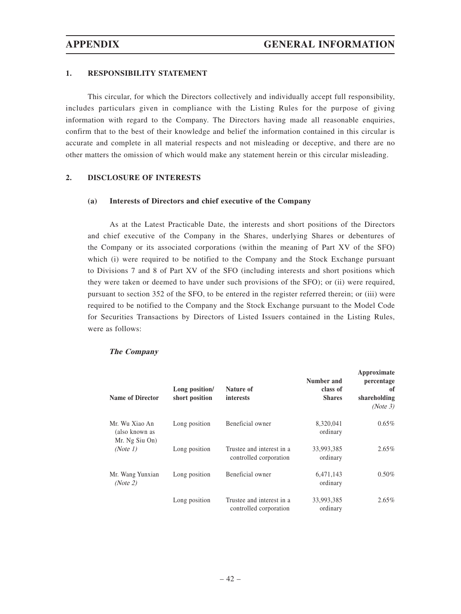### **1. RESPONSIBILITY STATEMENT**

This circular, for which the Directors collectively and individually accept full responsibility, includes particulars given in compliance with the Listing Rules for the purpose of giving information with regard to the Company. The Directors having made all reasonable enquiries, confirm that to the best of their knowledge and belief the information contained in this circular is accurate and complete in all material respects and not misleading or deceptive, and there are no other matters the omission of which would make any statement herein or this circular misleading.

#### **2. DISCLOSURE OF INTERESTS**

#### **(a) Interests of Directors and chief executive of the Company**

As at the Latest Practicable Date, the interests and short positions of the Directors and chief executive of the Company in the Shares, underlying Shares or debentures of the Company or its associated corporations (within the meaning of Part XV of the SFO) which (i) were required to be notified to the Company and the Stock Exchange pursuant to Divisions 7 and 8 of Part XV of the SFO (including interests and short positions which they were taken or deemed to have under such provisions of the SFO); or (ii) were required, pursuant to section 352 of the SFO, to be entered in the register referred therein; or (iii) were required to be notified to the Company and the Stock Exchange pursuant to the Model Code for Securities Transactions by Directors of Listed Issuers contained in the Listing Rules, were as follows:

| <b>Name of Director</b>                            | Long position/<br>short position | Nature of<br>interests                              | Number and<br>class of<br><b>Shares</b> | Approximate<br>percentage<br>of<br>shareholding<br>(Note 3) |
|----------------------------------------------------|----------------------------------|-----------------------------------------------------|-----------------------------------------|-------------------------------------------------------------|
| Mr. Wu Xiao An<br>(also known as<br>Mr. Ng Siu On) | Long position                    | Beneficial owner                                    | 8,320,041<br>ordinary                   | $0.65\%$                                                    |
| (Note 1)                                           | Long position                    | Trustee and interest in a<br>controlled corporation | 33,993,385<br>ordinary                  | $2.65\%$                                                    |
| Mr. Wang Yunxian<br>(Note 2)                       | Long position                    | Beneficial owner                                    | 6,471,143<br>ordinary                   | $0.50\%$                                                    |
|                                                    | Long position                    | Trustee and interest in a<br>controlled corporation | 33,993,385<br>ordinary                  | $2.65\%$                                                    |

#### **The Company**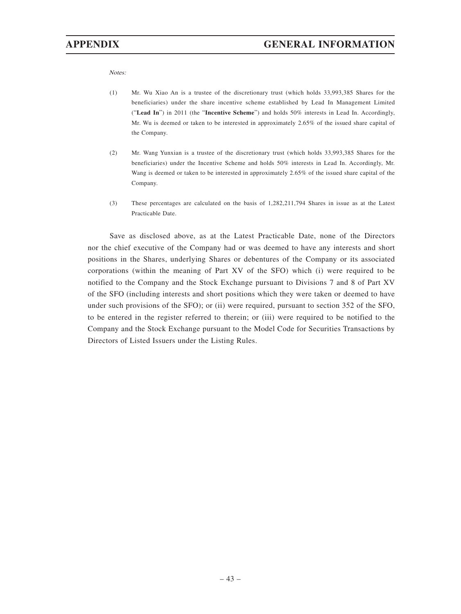Notes:

- (1) Mr. Wu Xiao An is a trustee of the discretionary trust (which holds 33,993,385 Shares for the beneficiaries) under the share incentive scheme established by Lead In Management Limited ("**Lead In**") in 2011 (the "**Incentive Scheme**") and holds 50% interests in Lead In. Accordingly, Mr. Wu is deemed or taken to be interested in approximately 2.65% of the issued share capital of the Company.
- (2) Mr. Wang Yunxian is a trustee of the discretionary trust (which holds 33,993,385 Shares for the beneficiaries) under the Incentive Scheme and holds 50% interests in Lead In. Accordingly, Mr. Wang is deemed or taken to be interested in approximately 2.65% of the issued share capital of the Company.
- (3) These percentages are calculated on the basis of 1,282,211,794 Shares in issue as at the Latest Practicable Date.

Save as disclosed above, as at the Latest Practicable Date, none of the Directors nor the chief executive of the Company had or was deemed to have any interests and short positions in the Shares, underlying Shares or debentures of the Company or its associated corporations (within the meaning of Part XV of the SFO) which (i) were required to be notified to the Company and the Stock Exchange pursuant to Divisions 7 and 8 of Part XV of the SFO (including interests and short positions which they were taken or deemed to have under such provisions of the SFO); or (ii) were required, pursuant to section 352 of the SFO, to be entered in the register referred to therein; or (iii) were required to be notified to the Company and the Stock Exchange pursuant to the Model Code for Securities Transactions by Directors of Listed Issuers under the Listing Rules.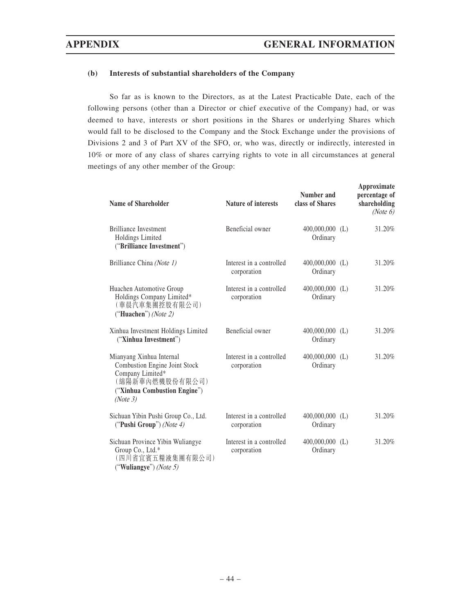### **(b) Interests of substantial shareholders of the Company**

So far as is known to the Directors, as at the Latest Practicable Date, each of the following persons (other than a Director or chief executive of the Company) had, or was deemed to have, interests or short positions in the Shares or underlying Shares which would fall to be disclosed to the Company and the Stock Exchange under the provisions of Divisions 2 and 3 of Part XV of the SFO, or, who was, directly or indirectly, interested in 10% or more of any class of shares carrying rights to vote in all circumstances at general meetings of any other member of the Group:

| <b>Name of Shareholder</b>                                                                                                                   | <b>Nature of interests</b>              | Number and<br>class of Shares | Approximate<br>percentage of<br>shareholding<br>(Note 6) |
|----------------------------------------------------------------------------------------------------------------------------------------------|-----------------------------------------|-------------------------------|----------------------------------------------------------|
| <b>Brilliance Investment</b><br>Holdings Limited<br>("Brilliance Investment")                                                                | Beneficial owner                        | $400,000,000$ (L)<br>Ordinary | 31.20%                                                   |
| Brilliance China (Note 1)                                                                                                                    | Interest in a controlled<br>corporation | $400,000,000$ (L)<br>Ordinary | 31.20%                                                   |
| Huachen Automotive Group<br>Holdings Company Limited*<br>(華晨汽車集團控股有限公司)<br>("Huachen") (Note 2)                                              | Interest in a controlled<br>corporation | $400,000,000$ (L)<br>Ordinary | 31.20%                                                   |
| Xinhua Investment Holdings Limited<br>("Xinhua Investment")                                                                                  | Beneficial owner                        | $400,000,000$ (L)<br>Ordinary | 31.20%                                                   |
| Mianyang Xinhua Internal<br>Combustion Engine Joint Stock<br>Company Limited*<br>(綿陽新華內燃機股份有限公司)<br>("Xinhua Combustion Engine")<br>(Note 3) | Interest in a controlled<br>corporation | $400,000,000$ (L)<br>Ordinary | 31.20%                                                   |
| Sichuan Yibin Pushi Group Co., Ltd.<br>("Pushi Group") (Note 4)                                                                              | Interest in a controlled<br>corporation | $400,000,000$ (L)<br>Ordinary | 31.20%                                                   |
| Sichuan Province Yibin Wuliangye<br>Group Co., Ltd.*<br>(四川省宜賓五糧液集團有限公司)<br>("Wuliangye") (Note 5)                                           | Interest in a controlled<br>corporation | $400,000,000$ (L)<br>Ordinary | 31.20%                                                   |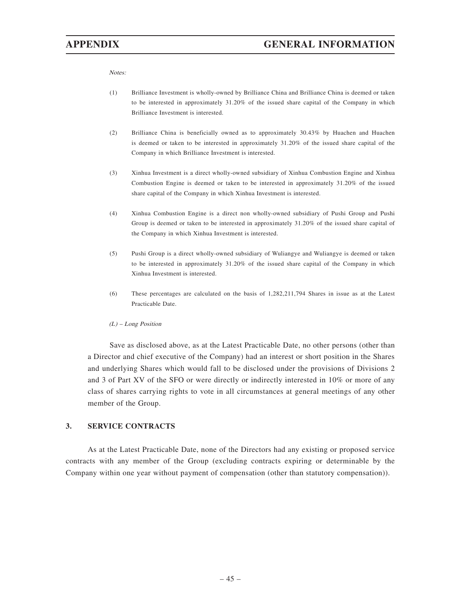Notes:

- (1) Brilliance Investment is wholly-owned by Brilliance China and Brilliance China is deemed or taken to be interested in approximately 31.20% of the issued share capital of the Company in which Brilliance Investment is interested.
- (2) Brilliance China is beneficially owned as to approximately 30.43% by Huachen and Huachen is deemed or taken to be interested in approximately 31.20% of the issued share capital of the Company in which Brilliance Investment is interested.
- (3) Xinhua Investment is a direct wholly-owned subsidiary of Xinhua Combustion Engine and Xinhua Combustion Engine is deemed or taken to be interested in approximately 31.20% of the issued share capital of the Company in which Xinhua Investment is interested.
- (4) Xinhua Combustion Engine is a direct non wholly-owned subsidiary of Pushi Group and Pushi Group is deemed or taken to be interested in approximately 31.20% of the issued share capital of the Company in which Xinhua Investment is interested.
- (5) Pushi Group is a direct wholly-owned subsidiary of Wuliangye and Wuliangye is deemed or taken to be interested in approximately 31.20% of the issued share capital of the Company in which Xinhua Investment is interested.
- (6) These percentages are calculated on the basis of 1,282,211,794 Shares in issue as at the Latest Practicable Date.

#### (L) – Long Position

Save as disclosed above, as at the Latest Practicable Date, no other persons (other than a Director and chief executive of the Company) had an interest or short position in the Shares and underlying Shares which would fall to be disclosed under the provisions of Divisions 2 and 3 of Part XV of the SFO or were directly or indirectly interested in 10% or more of any class of shares carrying rights to vote in all circumstances at general meetings of any other member of the Group.

## **3. SERVICE CONTRACTS**

As at the Latest Practicable Date, none of the Directors had any existing or proposed service contracts with any member of the Group (excluding contracts expiring or determinable by the Company within one year without payment of compensation (other than statutory compensation)).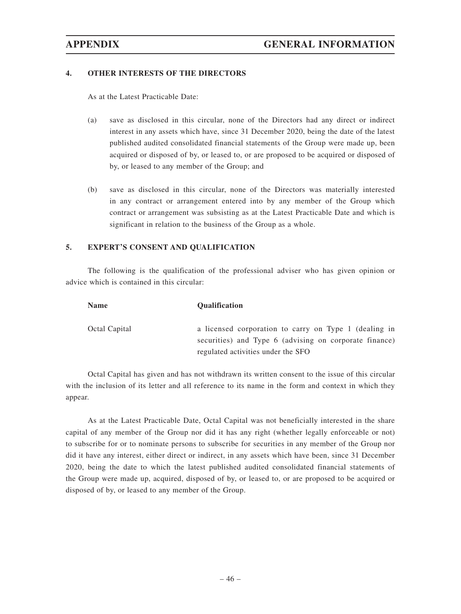### **4. OTHER INTERESTS OF THE DIRECTORS**

As at the Latest Practicable Date:

- (a) save as disclosed in this circular, none of the Directors had any direct or indirect interest in any assets which have, since 31 December 2020, being the date of the latest published audited consolidated financial statements of the Group were made up, been acquired or disposed of by, or leased to, or are proposed to be acquired or disposed of by, or leased to any member of the Group; and
- (b) save as disclosed in this circular, none of the Directors was materially interested in any contract or arrangement entered into by any member of the Group which contract or arrangement was subsisting as at the Latest Practicable Date and which is significant in relation to the business of the Group as a whole.

## **5. EXPERT'S CONSENT AND QUALIFICATION**

The following is the qualification of the professional adviser who has given opinion or advice which is contained in this circular:

| <b>Name</b>   | <b>Qualification</b>                                                                                            |
|---------------|-----------------------------------------------------------------------------------------------------------------|
| Octal Capital | a licensed corporation to carry on Type 1 (dealing in<br>securities) and Type 6 (advising on corporate finance) |
|               | regulated activities under the SFO                                                                              |

Octal Capital has given and has not withdrawn its written consent to the issue of this circular with the inclusion of its letter and all reference to its name in the form and context in which they appear.

As at the Latest Practicable Date, Octal Capital was not beneficially interested in the share capital of any member of the Group nor did it has any right (whether legally enforceable or not) to subscribe for or to nominate persons to subscribe for securities in any member of the Group nor did it have any interest, either direct or indirect, in any assets which have been, since 31 December 2020, being the date to which the latest published audited consolidated financial statements of the Group were made up, acquired, disposed of by, or leased to, or are proposed to be acquired or disposed of by, or leased to any member of the Group.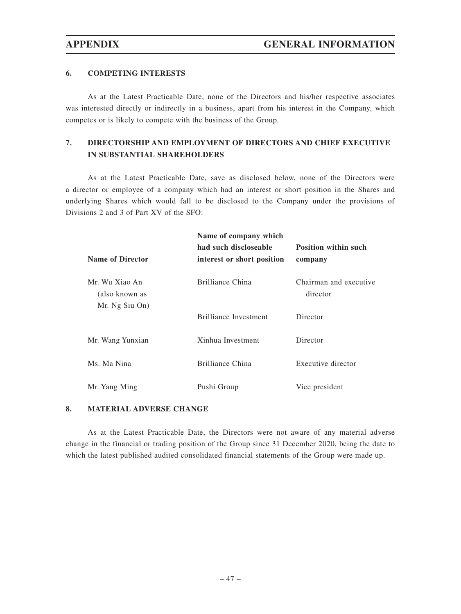## **6. COMPETING INTERESTS**

As at the Latest Practicable Date, none of the Directors and his/her respective associates was interested directly or indirectly in a business, apart from his interest in the Company, which competes or is likely to compete with the business of the Group.

## **7. DIRECTORSHIP AND EMPLOYMENT OF DIRECTORS AND CHIEF EXECUTIVE IN SUBSTANTIAL SHAREHOLDERS**

As at the Latest Practicable Date, save as disclosed below, none of the Directors were a director or employee of a company which had an interest or short position in the Shares and underlying Shares which would fall to be disclosed to the Company under the provisions of Divisions 2 and 3 of Part XV of the SFO:

|                                                    | Name of company which<br>had such discloseable | <b>Position within such</b>        |  |
|----------------------------------------------------|------------------------------------------------|------------------------------------|--|
| <b>Name of Director</b>                            | interest or short position                     | company                            |  |
| Mr. Wu Xiao An<br>(also known as<br>Mr. Ng Siu On) | Brilliance China                               | Chairman and executive<br>director |  |
|                                                    | <b>Brilliance Investment</b>                   | Director                           |  |
| Mr. Wang Yunxian                                   | Xinhua Investment                              | Director                           |  |
| Ms. Ma Nina                                        | Brilliance China                               | Executive director                 |  |
| Mr. Yang Ming                                      | Pushi Group                                    | Vice president                     |  |

#### **8. MATERIAL ADVERSE CHANGE**

As at the Latest Practicable Date, the Directors were not aware of any material adverse change in the financial or trading position of the Group since 31 December 2020, being the date to which the latest published audited consolidated financial statements of the Group were made up.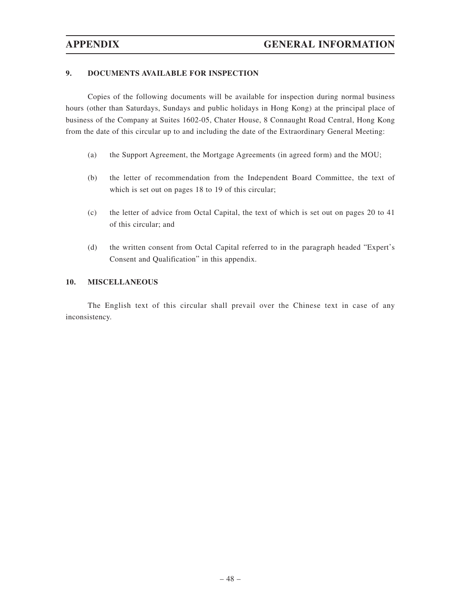## **9. DOCUMENTS AVAILABLE FOR INSPECTION**

Copies of the following documents will be available for inspection during normal business hours (other than Saturdays, Sundays and public holidays in Hong Kong) at the principal place of business of the Company at Suites 1602-05, Chater House, 8 Connaught Road Central, Hong Kong from the date of this circular up to and including the date of the Extraordinary General Meeting:

- (a) the Support Agreement, the Mortgage Agreements (in agreed form) and the MOU;
- (b) the letter of recommendation from the Independent Board Committee, the text of which is set out on pages 18 to 19 of this circular;
- (c) the letter of advice from Octal Capital, the text of which is set out on pages 20 to 41 of this circular; and
- (d) the written consent from Octal Capital referred to in the paragraph headed "Expert's Consent and Qualification" in this appendix.

## **10. MISCELLANEOUS**

The English text of this circular shall prevail over the Chinese text in case of any inconsistency.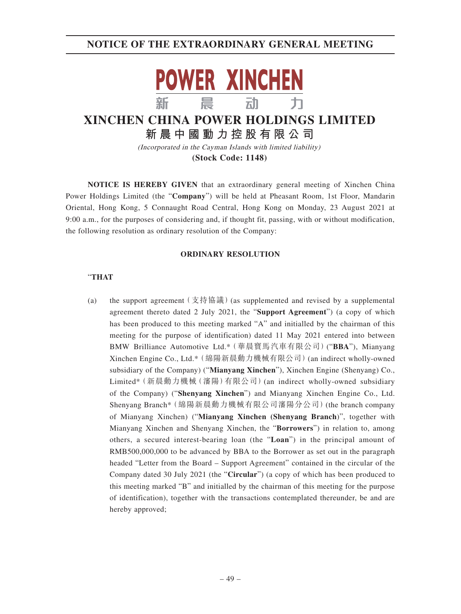

## **XINCHEN CHINA POWER HOLDINGS LIMITED 新晨中國動力控股有限公 司**

(Incorporated in the Cayman Islands with limited liability) **(Stock Code: 1148)**

**NOTICE IS HEREBY GIVEN** that an extraordinary general meeting of Xinchen China Power Holdings Limited (the "**Company**") will be held at Pheasant Room, 1st Floor, Mandarin Oriental, Hong Kong, 5 Connaught Road Central, Hong Kong on Monday, 23 August 2021 at 9:00 a.m., for the purposes of considering and, if thought fit, passing, with or without modification, the following resolution as ordinary resolution of the Company:

#### **ORDINARY RESOLUTION**

## "**THAT**

(a) the support agreement  $(\bar{\chi}$ 持協議) (as supplemented and revised by a supplemental agreement thereto dated 2 July 2021, the "**Support Agreement**") (a copy of which has been produced to this meeting marked "A" and initialled by the chairman of this meeting for the purpose of identification) dated 11 May 2021 entered into between BMW Brilliance Automotive Ltd.\*(華晨寶馬汽車有限公司)("**BBA**"), Mianyang Xinchen Engine Co., Ltd.\*(綿陽新晨動力機械有限公司)(an indirect wholly-owned subsidiary of the Company) ("**Mianyang Xinchen**"), Xinchen Engine (Shenyang) Co., Limited\*(新晨動力機械(瀋陽)有限公司)(an indirect wholly-owned subsidiary of the Company) ("**Shenyang Xinchen**") and Mianyang Xinchen Engine Co., Ltd. Shenyang Branch\*(綿陽新晨動力機械有限公司瀋陽分公司)(the branch company of Mianyang Xinchen) ("**Mianyang Xinchen (Shenyang Branch**)", together with Mianyang Xinchen and Shenyang Xinchen, the "**Borrowers**") in relation to, among others, a secured interest-bearing loan (the "**Loan**") in the principal amount of RMB500,000,000 to be advanced by BBA to the Borrower as set out in the paragraph headed "Letter from the Board – Support Agreement" contained in the circular of the Company dated 30 July 2021 (the "**Circular**") (a copy of which has been produced to this meeting marked "B" and initialled by the chairman of this meeting for the purpose of identification), together with the transactions contemplated thereunder, be and are hereby approved;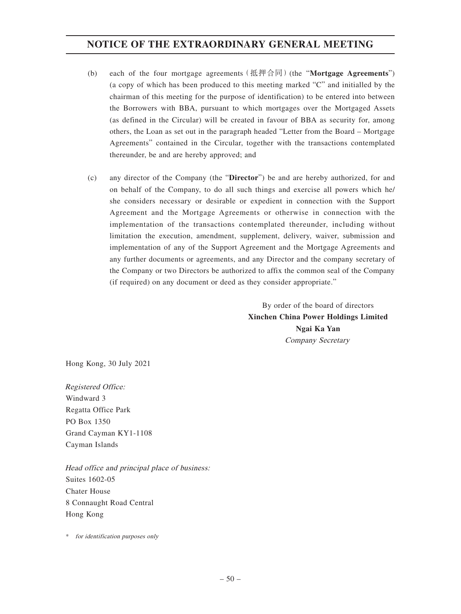- (b) each of the four mortgage agreements(抵押合同)(the "**Mortgage Agreements**") (a copy of which has been produced to this meeting marked "C" and initialled by the chairman of this meeting for the purpose of identification) to be entered into between the Borrowers with BBA, pursuant to which mortgages over the Mortgaged Assets (as defined in the Circular) will be created in favour of BBA as security for, among others, the Loan as set out in the paragraph headed "Letter from the Board – Mortgage Agreements" contained in the Circular, together with the transactions contemplated thereunder, be and are hereby approved; and
- (c) any director of the Company (the "**Director**") be and are hereby authorized, for and on behalf of the Company, to do all such things and exercise all powers which he/ she considers necessary or desirable or expedient in connection with the Support Agreement and the Mortgage Agreements or otherwise in connection with the implementation of the transactions contemplated thereunder, including without limitation the execution, amendment, supplement, delivery, waiver, submission and implementation of any of the Support Agreement and the Mortgage Agreements and any further documents or agreements, and any Director and the company secretary of the Company or two Directors be authorized to affix the common seal of the Company (if required) on any document or deed as they consider appropriate."

By order of the board of directors **Xinchen China Power Holdings Limited Ngai Ka Yan** Company Secretary

Hong Kong, 30 July 2021

Registered Office: Windward 3 Regatta Office Park PO Box 1350 Grand Cayman KY1-1108 Cayman Islands

Head office and principal place of business: Suites 1602-05 Chater House 8 Connaught Road Central Hong Kong

\* for identification purposes only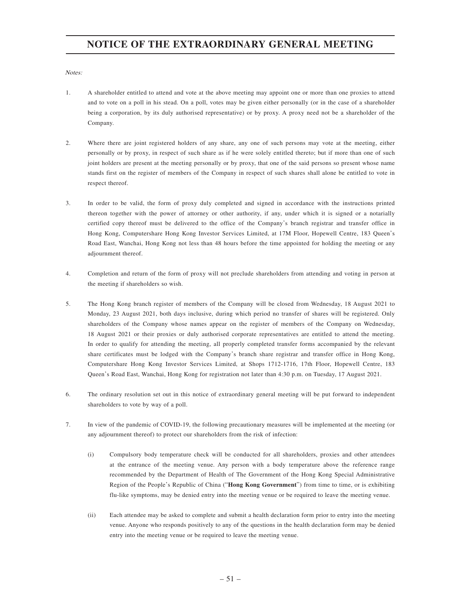Notes:

- 1. A shareholder entitled to attend and vote at the above meeting may appoint one or more than one proxies to attend and to vote on a poll in his stead. On a poll, votes may be given either personally (or in the case of a shareholder being a corporation, by its duly authorised representative) or by proxy. A proxy need not be a shareholder of the Company.
- 2. Where there are joint registered holders of any share, any one of such persons may vote at the meeting, either personally or by proxy, in respect of such share as if he were solely entitled thereto; but if more than one of such joint holders are present at the meeting personally or by proxy, that one of the said persons so present whose name stands first on the register of members of the Company in respect of such shares shall alone be entitled to vote in respect thereof.
- 3. In order to be valid, the form of proxy duly completed and signed in accordance with the instructions printed thereon together with the power of attorney or other authority, if any, under which it is signed or a notarially certified copy thereof must be delivered to the office of the Company's branch registrar and transfer office in Hong Kong, Computershare Hong Kong Investor Services Limited, at 17M Floor, Hopewell Centre, 183 Queen's Road East, Wanchai, Hong Kong not less than 48 hours before the time appointed for holding the meeting or any adjournment thereof.
- 4. Completion and return of the form of proxy will not preclude shareholders from attending and voting in person at the meeting if shareholders so wish.
- 5. The Hong Kong branch register of members of the Company will be closed from Wednesday, 18 August 2021 to Monday, 23 August 2021, both days inclusive, during which period no transfer of shares will be registered. Only shareholders of the Company whose names appear on the register of members of the Company on Wednesday, 18 August 2021 or their proxies or duly authorised corporate representatives are entitled to attend the meeting. In order to qualify for attending the meeting, all properly completed transfer forms accompanied by the relevant share certificates must be lodged with the Company's branch share registrar and transfer office in Hong Kong, Computershare Hong Kong Investor Services Limited, at Shops 1712-1716, 17th Floor, Hopewell Centre, 183 Queen's Road East, Wanchai, Hong Kong for registration not later than 4:30 p.m. on Tuesday, 17 August 2021.
- 6. The ordinary resolution set out in this notice of extraordinary general meeting will be put forward to independent shareholders to vote by way of a poll.
- 7. In view of the pandemic of COVID-19, the following precautionary measures will be implemented at the meeting (or any adjournment thereof) to protect our shareholders from the risk of infection:
	- (i) Compulsory body temperature check will be conducted for all shareholders, proxies and other attendees at the entrance of the meeting venue. Any person with a body temperature above the reference range recommended by the Department of Health of The Government of the Hong Kong Special Administrative Region of the People's Republic of China ("**Hong Kong Government**") from time to time, or is exhibiting flu-like symptoms, may be denied entry into the meeting venue or be required to leave the meeting venue.
	- (ii) Each attendee may be asked to complete and submit a health declaration form prior to entry into the meeting venue. Anyone who responds positively to any of the questions in the health declaration form may be denied entry into the meeting venue or be required to leave the meeting venue.